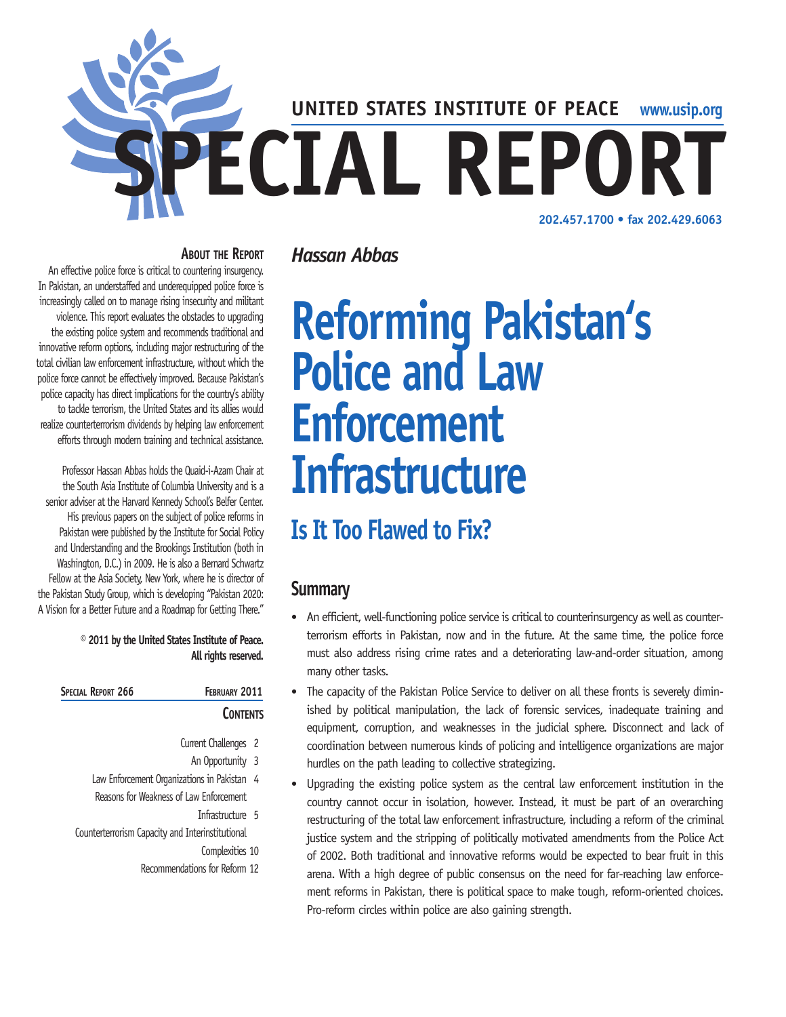

#### **About the Report**

An effective police force is critical to countering insurgency. In Pakistan, an understaffed and underequipped police force is increasingly called on to manage rising insecurity and militant violence. This report evaluates the obstacles to upgrading the existing police system and recommends traditional and innovative reform options, including major restructuring of the total civilian law enforcement infrastructure, without which the police force cannot be effectively improved. Because Pakistan's police capacity has direct implications for the country's ability to tackle terrorism, the United States and its allies would realize counterterrorism dividends by helping law enforcement efforts through modern training and technical assistance.

Professor Hassan Abbas holds the Quaid-i-Azam Chair at the South Asia Institute of Columbia University and is a senior adviser at the Harvard Kennedy School's Belfer Center. His previous papers on the subject of police reforms in Pakistan were published by the Institute for Social Policy and Understanding and the Brookings Institution (both in Washington, D.C.) in 2009. He is also a Bernard Schwartz Fellow at the Asia Society, New York, where he is director of the Pakistan Study Group, which is developing "Pakistan 2020: A Vision for a Better Future and a Roadmap for Getting There."

> **© 2011 by the United States Institute of Peace. All rights reserved.**

| SPECIAL REPORT 266 | <b>FEBRUARY 2011</b> |
|--------------------|----------------------|
|                    | <b>CONTENTS</b>      |

- Current Challenges 2
	- An Opportunity 3
- Law Enforcement Organizations in Pakistan 4 Reasons for Weakness of Law Enforcement
	- Infrastructure 5
- Counterterrorism Capacity and Interinstitutional
	- Complexities 10
	- Recommendations for Reform 12

# *Hassan Abbas*

# **Reforming Pakistan's Police and Law Enforcement Infrastructure**

# **Is It Too Flawed to Fix?**

# **Summary**

- An efficient, well-functioning police service is critical to counterinsurgency as well as counterterrorism efforts in Pakistan, now and in the future. At the same time, the police force must also address rising crime rates and a deteriorating law-and-order situation, among many other tasks.
- The capacity of the Pakistan Police Service to deliver on all these fronts is severely diminished by political manipulation, the lack of forensic services, inadequate training and equipment, corruption, and weaknesses in the judicial sphere. Disconnect and lack of coordination between numerous kinds of policing and intelligence organizations are major hurdles on the path leading to collective strategizing.
- Upgrading the existing police system as the central law enforcement institution in the country cannot occur in isolation, however. Instead, it must be part of an overarching restructuring of the total law enforcement infrastructure, including a reform of the criminal justice system and the stripping of politically motivated amendments from the Police Act of 2002. Both traditional and innovative reforms would be expected to bear fruit in this arena. With a high degree of public consensus on the need for far-reaching law enforcement reforms in Pakistan, there is political space to make tough, reform-oriented choices. Pro-reform circles within police are also gaining strength.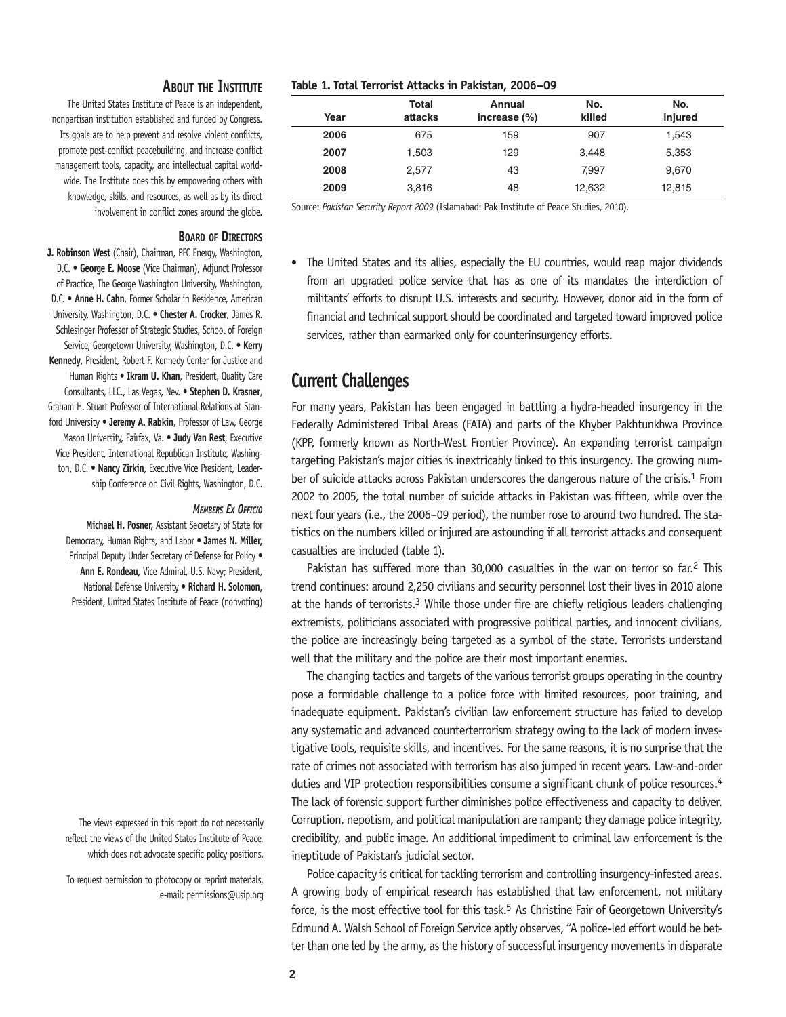#### **About the Institute**

The United States Institute of Peace is an independent, nonpartisan institution established and funded by Congress. Its goals are to help prevent and resolve violent conflicts, promote post-conflict peacebuilding, and increase conflict management tools, capacity, and intellectual capital worldwide. The Institute does this by empowering others with knowledge, skills, and resources, as well as by its direct involvement in conflict zones around the globe.

#### **Board of Directors**

**J. Robinson West** (Chair), Chairman, PFC Energy, Washington, D.C. • **George E. Moose** (Vice Chairman), Adjunct Professor of Practice, The George Washington University, Washington, D.C. • **Anne H. Cahn**, Former Scholar in Residence, American University, Washington, D.C. • **Chester A. Crocker**, James R. Schlesinger Professor of Strategic Studies, School of Foreign Service, Georgetown University, Washington, D.C. • **Kerry Kennedy**, President, Robert F. Kennedy Center for Justice and Human Rights • **Ikram U. Khan**, President, Quality Care Consultants, LLC., Las Vegas, Nev. • **Stephen D. Krasner**, Graham H. Stuart Professor of International Relations at Stanford University • **Jeremy A. Rabkin**, Professor of Law, George Mason University, Fairfax, Va. • **Judy Van Rest**, Executive Vice President, International Republican Institute, Washington, D.C. • **Nancy Zirkin**, Executive Vice President, Leadership Conference on Civil Rights, Washington, D.C.

#### *Members Ex Officio*

**Michael H. Posner,** Assistant Secretary of State for Democracy, Human Rights, and Labor • **James N. Miller,**  Principal Deputy Under Secretary of Defense for Policy . **Ann E. Rondeau,** Vice Admiral, U.S. Navy; President, National Defense University • **Richard H. Solomon,**  President, United States Institute of Peace (nonvoting)

The views expressed in this report do not necessarily reflect the views of the United States Institute of Peace, which does not advocate specific policy positions.

To request permission to photocopy or reprint materials, e-mail: permissions@usip.org

| Year | <b>Total</b><br>attacks | Annual<br>increase $(\%)$ | No.<br>killed | No.<br>injured |
|------|-------------------------|---------------------------|---------------|----------------|
| 2006 | 675                     | 159                       | 907           | 1.543          |
| 2007 | 1,503                   | 129                       | 3,448         | 5,353          |
| 2008 | 2.577                   | 43                        | 7.997         | 9.670          |
| 2009 | 3,816                   | 48                        | 12,632        | 12,815         |

**Table 1. Total Terrorist Attacks in Pakistan, 2006–09**

Source: *Pakistan Security Report 2009* (Islamabad: Pak Institute of Peace Studies, 2010).

• The United States and its allies, especially the EU countries, would reap major dividends from an upgraded police service that has as one of its mandates the interdiction of militants' efforts to disrupt U.S. interests and security. However, donor aid in the form of financial and technical support should be coordinated and targeted toward improved police services, rather than earmarked only for counterinsurgency efforts.

## **Current Challenges**

For many years, Pakistan has been engaged in battling a hydra-headed insurgency in the Federally Administered Tribal Areas (FATA) and parts of the Khyber Pakhtunkhwa Province (KPP, formerly known as North-West Frontier Province). An expanding terrorist campaign targeting Pakistan's major cities is inextricably linked to this insurgency. The growing number of suicide attacks across Pakistan underscores the dangerous nature of the crisis.1 From 2002 to 2005, the total number of suicide attacks in Pakistan was fifteen, while over the next four years (i.e., the 2006–09 period), the number rose to around two hundred. The statistics on the numbers killed or injured are astounding if all terrorist attacks and consequent casualties are included (table 1).

Pakistan has suffered more than 30,000 casualties in the war on terror so far.<sup>2</sup> This trend continues: around 2,250 civilians and security personnel lost their lives in 2010 alone at the hands of terrorists.3 While those under fire are chiefly religious leaders challenging extremists, politicians associated with progressive political parties, and innocent civilians, the police are increasingly being targeted as a symbol of the state. Terrorists understand well that the military and the police are their most important enemies.

The changing tactics and targets of the various terrorist groups operating in the country pose a formidable challenge to a police force with limited resources, poor training, and inadequate equipment. Pakistan's civilian law enforcement structure has failed to develop any systematic and advanced counterterrorism strategy owing to the lack of modern investigative tools, requisite skills, and incentives. For the same reasons, it is no surprise that the rate of crimes not associated with terrorism has also jumped in recent years. Law-and-order duties and VIP protection responsibilities consume a significant chunk of police resources.<sup>4</sup> The lack of forensic support further diminishes police effectiveness and capacity to deliver. Corruption, nepotism, and political manipulation are rampant; they damage police integrity, credibility, and public image. An additional impediment to criminal law enforcement is the ineptitude of Pakistan's judicial sector.

Police capacity is critical for tackling terrorism and controlling insurgency-infested areas. A growing body of empirical research has established that law enforcement, not military force, is the most effective tool for this task.<sup>5</sup> As Christine Fair of Georgetown University's Edmund A. Walsh School of Foreign Service aptly observes, "A police-led effort would be better than one led by the army, as the history of successful insurgency movements in disparate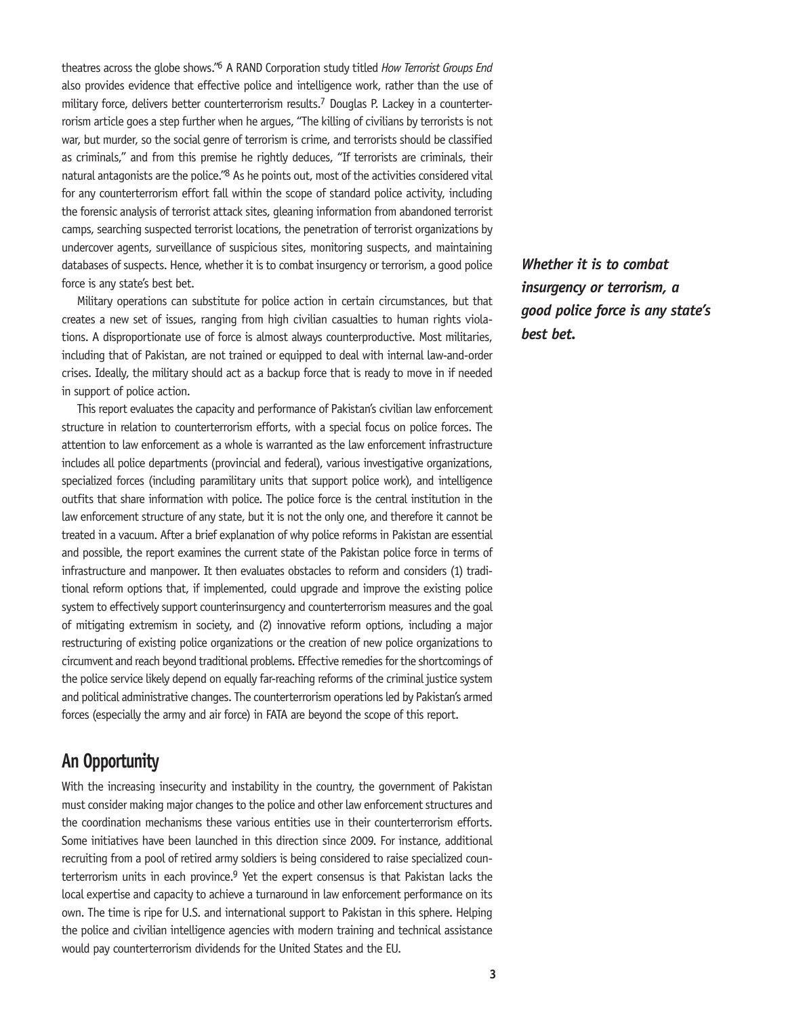theatres across the globe shows."6 A RAND Corporation study titled *How Terrorist Groups End* also provides evidence that effective police and intelligence work, rather than the use of military force, delivers better counterterrorism results.7 Douglas P. Lackey in a counterterrorism article goes a step further when he argues, "The killing of civilians by terrorists is not war, but murder, so the social genre of terrorism is crime, and terrorists should be classified as criminals," and from this premise he rightly deduces, "If terrorists are criminals, their natural antagonists are the police."<sup>8</sup> As he points out, most of the activities considered vital for any counterterrorism effort fall within the scope of standard police activity, including the forensic analysis of terrorist attack sites, gleaning information from abandoned terrorist camps, searching suspected terrorist locations, the penetration of terrorist organizations by undercover agents, surveillance of suspicious sites, monitoring suspects, and maintaining databases of suspects. Hence, whether it is to combat insurgency or terrorism, a good police force is any state's best bet.

Military operations can substitute for police action in certain circumstances, but that creates a new set of issues, ranging from high civilian casualties to human rights violations. A disproportionate use of force is almost always counterproductive. Most militaries, including that of Pakistan, are not trained or equipped to deal with internal law-and-order crises. Ideally, the military should act as a backup force that is ready to move in if needed in support of police action.

This report evaluates the capacity and performance of Pakistan's civilian law enforcement structure in relation to counterterrorism efforts, with a special focus on police forces. The attention to law enforcement as a whole is warranted as the law enforcement infrastructure includes all police departments (provincial and federal), various investigative organizations, specialized forces (including paramilitary units that support police work), and intelligence outfits that share information with police. The police force is the central institution in the law enforcement structure of any state, but it is not the only one, and therefore it cannot be treated in a vacuum. After a brief explanation of why police reforms in Pakistan are essential and possible, the report examines the current state of the Pakistan police force in terms of infrastructure and manpower. It then evaluates obstacles to reform and considers (1) traditional reform options that, if implemented, could upgrade and improve the existing police system to effectively support counterinsurgency and counterterrorism measures and the goal of mitigating extremism in society, and (2) innovative reform options, including a major restructuring of existing police organizations or the creation of new police organizations to circumvent and reach beyond traditional problems. Effective remedies for the shortcomings of the police service likely depend on equally far-reaching reforms of the criminal justice system and political administrative changes. The counterterrorism operations led by Pakistan's armed forces (especially the army and air force) in FATA are beyond the scope of this report.

# **An Opportunity**

With the increasing insecurity and instability in the country, the government of Pakistan must consider making major changes to the police and other law enforcement structures and the coordination mechanisms these various entities use in their counterterrorism efforts. Some initiatives have been launched in this direction since 2009. For instance, additional recruiting from a pool of retired army soldiers is being considered to raise specialized counterterrorism units in each province.<sup>9</sup> Yet the expert consensus is that Pakistan lacks the local expertise and capacity to achieve a turnaround in law enforcement performance on its own. The time is ripe for U.S. and international support to Pakistan in this sphere. Helping the police and civilian intelligence agencies with modern training and technical assistance would pay counterterrorism dividends for the United States and the EU.

*Whether it is to combat insurgency or terrorism, a good police force is any state's best bet.*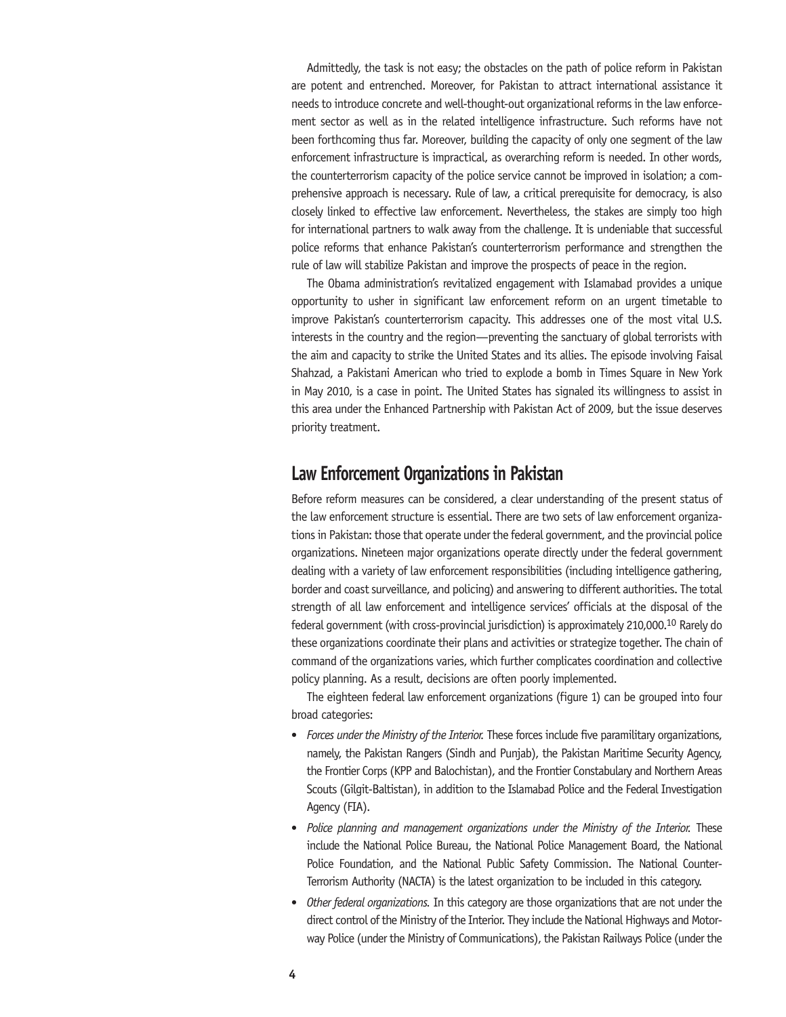Admittedly, the task is not easy; the obstacles on the path of police reform in Pakistan are potent and entrenched. Moreover, for Pakistan to attract international assistance it needs to introduce concrete and well-thought-out organizational reforms in the law enforcement sector as well as in the related intelligence infrastructure. Such reforms have not been forthcoming thus far. Moreover, building the capacity of only one segment of the law enforcement infrastructure is impractical, as overarching reform is needed. In other words, the counterterrorism capacity of the police service cannot be improved in isolation; a comprehensive approach is necessary. Rule of law, a critical prerequisite for democracy, is also closely linked to effective law enforcement. Nevertheless, the stakes are simply too high for international partners to walk away from the challenge. It is undeniable that successful police reforms that enhance Pakistan's counterterrorism performance and strengthen the rule of law will stabilize Pakistan and improve the prospects of peace in the region.

The Obama administration's revitalized engagement with Islamabad provides a unique opportunity to usher in significant law enforcement reform on an urgent timetable to improve Pakistan's counterterrorism capacity. This addresses one of the most vital U.S. interests in the country and the region—preventing the sanctuary of global terrorists with the aim and capacity to strike the United States and its allies. The episode involving Faisal Shahzad, a Pakistani American who tried to explode a bomb in Times Square in New York in May 2010, is a case in point. The United States has signaled its willingness to assist in this area under the Enhanced Partnership with Pakistan Act of 2009, but the issue deserves priority treatment.

# **Law Enforcement Organizations in Pakistan**

Before reform measures can be considered, a clear understanding of the present status of the law enforcement structure is essential. There are two sets of law enforcement organizations in Pakistan: those that operate under the federal government, and the provincial police organizations. Nineteen major organizations operate directly under the federal government dealing with a variety of law enforcement responsibilities (including intelligence gathering, border and coast surveillance, and policing) and answering to different authorities. The total strength of all law enforcement and intelligence services' officials at the disposal of the federal government (with cross-provincial jurisdiction) is approximately 210,000.10 Rarely do these organizations coordinate their plans and activities or strategize together. The chain of command of the organizations varies, which further complicates coordination and collective policy planning. As a result, decisions are often poorly implemented.

The eighteen federal law enforcement organizations (figure 1) can be grouped into four broad categories:

- *Forces under the Ministry of the Interior.* These forces include five paramilitary organizations, namely, the Pakistan Rangers (Sindh and Punjab), the Pakistan Maritime Security Agency, the Frontier Corps (KPP and Balochistan), and the Frontier Constabulary and Northern Areas Scouts (Gilgit-Baltistan), in addition to the Islamabad Police and the Federal Investigation Agency (FIA).
- • *Police planning and management organizations under the Ministry of the Interior.* These include the National Police Bureau, the National Police Management Board, the National Police Foundation, and the National Public Safety Commission. The National Counter-Terrorism Authority (NACTA) is the latest organization to be included in this category.
- • *Other federal organizations.* In this category are those organizations that are not under the direct control of the Ministry of the Interior. They include the National Highways and Motorway Police (under the Ministry of Communications), the Pakistan Railways Police (under the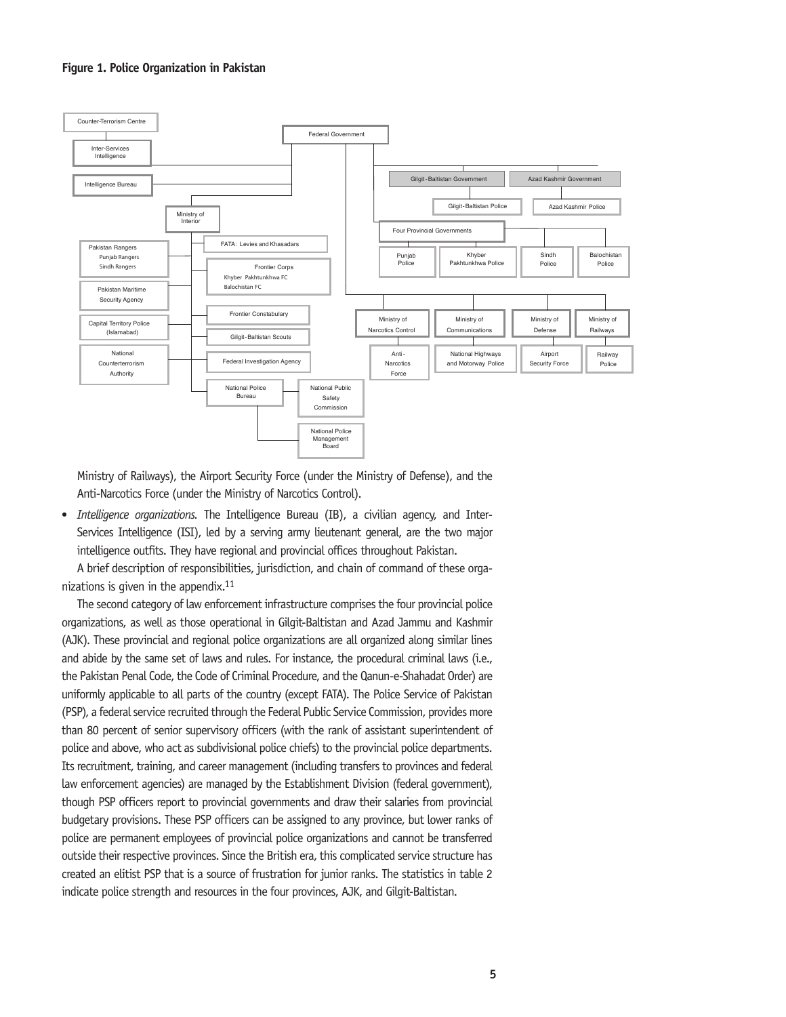#### **Figure 1. Police Organization in Pakistan**



Ministry of Railways), the Airport Security Force (under the Ministry of Defense), and the Anti-Narcotics Force (under the Ministry of Narcotics Control).

• *Intelligence organizations.* The Intelligence Bureau (IB), a civilian agency, and Inter-Services Intelligence (ISI), led by a serving army lieutenant general, are the two major intelligence outfits. They have regional and provincial offices throughout Pakistan.

A brief description of responsibilities, jurisdiction, and chain of command of these organizations is given in the appendix. $11$ 

The second category of law enforcement infrastructure comprises the four provincial police organizations, as well as those operational in Gilgit-Baltistan and Azad Jammu and Kashmir (AJK). These provincial and regional police organizations are all organized along similar lines and abide by the same set of laws and rules. For instance, the procedural criminal laws (i.e., the Pakistan Penal Code, the Code of Criminal Procedure, and the Qanun-e-Shahadat Order) are uniformly applicable to all parts of the country (except FATA). The Police Service of Pakistan (PSP), a federal service recruited through the Federal Public Service Commission, provides more than 80 percent of senior supervisory officers (with the rank of assistant superintendent of police and above, who act as subdivisional police chiefs) to the provincial police departments. Its recruitment, training, and career management (including transfers to provinces and federal law enforcement agencies) are managed by the Establishment Division (federal government), though PSP officers report to provincial governments and draw their salaries from provincial budgetary provisions. These PSP officers can be assigned to any province, but lower ranks of police are permanent employees of provincial police organizations and cannot be transferred outside their respective provinces. Since the British era, this complicated service structure has created an elitist PSP that is a source of frustration for junior ranks. The statistics in table 2 indicate police strength and resources in the four provinces, AJK, and Gilgit-Baltistan.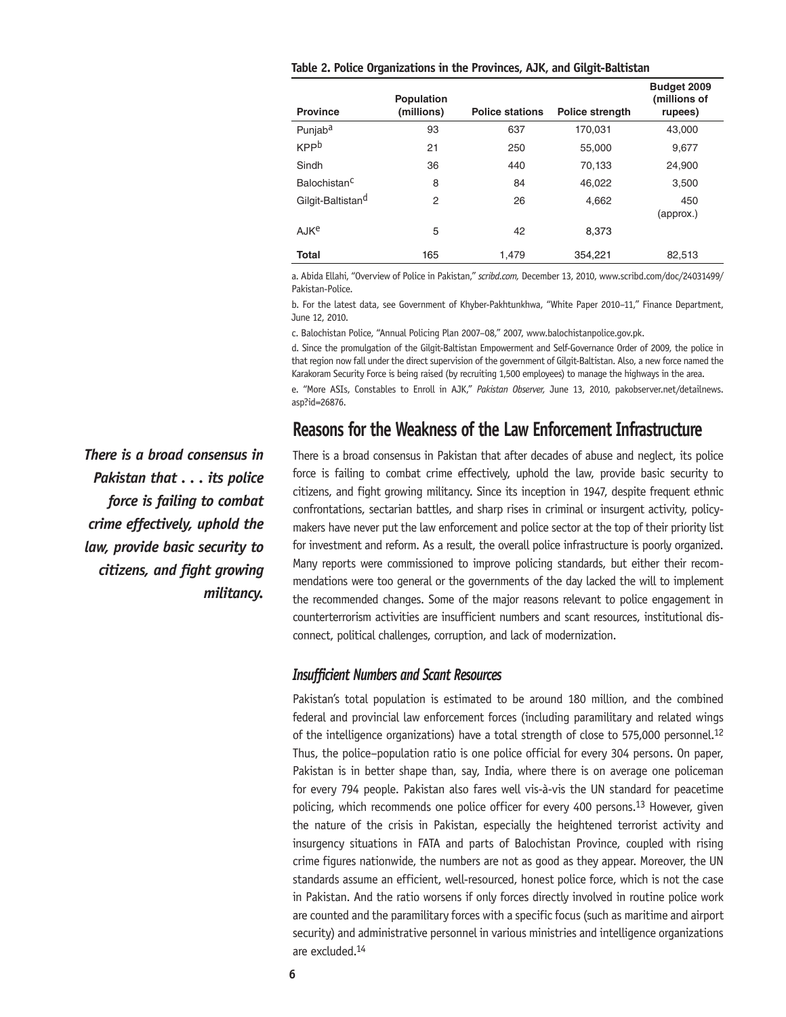|  | Table 2. Police Organizations in the Provinces, AJK, and Gilgit-Baltistan |  |  |  |  |  |
|--|---------------------------------------------------------------------------|--|--|--|--|--|
|--|---------------------------------------------------------------------------|--|--|--|--|--|

|                               | <b>Population</b> |                        |                        | Budget 2009<br>(millions of |
|-------------------------------|-------------------|------------------------|------------------------|-----------------------------|
| <b>Province</b>               | (millions)        | <b>Police stations</b> | <b>Police strength</b> | rupees)                     |
| Punjab <sup>a</sup>           | 93                | 637                    | 170,031                | 43,000                      |
| <b>KPP</b> b                  | 21                | 250                    | 55,000                 | 9,677                       |
| Sindh                         | 36                | 440                    | 70,133                 | 24.900                      |
| Balochistan <sup>C</sup>      | 8                 | 84                     | 46.022                 | 3,500                       |
| Gilgit-Baltistan <sup>d</sup> | 2                 | 26                     | 4,662                  | 450<br>(approx.)            |
| AJKe                          | 5                 | 42                     | 8.373                  |                             |
| <b>Total</b>                  | 165               | 1,479                  | 354,221                | 82,513                      |

a. Abida Ellahi, "Overview of Police in Pakistan," *scribd.com,* December 13, 2010, www.scribd.com/doc/24031499/ Pakistan-Police.

b. For the latest data, see Government of Khyber-Pakhtunkhwa, "White Paper 2010–11," Finance Department, June 12, 2010.

c. Balochistan Police, "Annual Policing Plan 2007–08," 2007, www.balochistanpolice.gov.pk.

d. Since the promulgation of the Gilgit-Baltistan Empowerment and Self-Governance Order of 2009, the police in that region now fall under the direct supervision of the government of Gilgit-Baltistan. Also, a new force named the Karakoram Security Force is being raised (by recruiting 1,500 employees) to manage the highways in the area.

e. "More ASIs, Constables to Enroll in AJK," *Pakistan Observer,* June 13, 2010, pakobserver.net/detailnews. asp?id=26876.

## **Reasons for the Weakness of the Law Enforcement Infrastructure**

There is a broad consensus in Pakistan that after decades of abuse and neglect, its police force is failing to combat crime effectively, uphold the law, provide basic security to citizens, and fight growing militancy. Since its inception in 1947, despite frequent ethnic confrontations, sectarian battles, and sharp rises in criminal or insurgent activity, policymakers have never put the law enforcement and police sector at the top of their priority list for investment and reform. As a result, the overall police infrastructure is poorly organized. Many reports were commissioned to improve policing standards, but either their recommendations were too general or the governments of the day lacked the will to implement the recommended changes. Some of the major reasons relevant to police engagement in counterterrorism activities are insufficient numbers and scant resources, institutional disconnect, political challenges, corruption, and lack of modernization.

#### *Insufficient Numbers and Scant Resources*

Pakistan's total population is estimated to be around 180 million, and the combined federal and provincial law enforcement forces (including paramilitary and related wings of the intelligence organizations) have a total strength of close to 575,000 personnel.<sup>12</sup> Thus, the police–population ratio is one police official for every 304 persons. On paper, Pakistan is in better shape than, say, India, where there is on average one policeman for every 794 people. Pakistan also fares well vis-à-vis the UN standard for peacetime policing, which recommends one police officer for every 400 persons.13 However, given the nature of the crisis in Pakistan, especially the heightened terrorist activity and insurgency situations in FATA and parts of Balochistan Province, coupled with rising crime figures nationwide, the numbers are not as good as they appear. Moreover, the UN standards assume an efficient, well-resourced, honest police force, which is not the case in Pakistan. And the ratio worsens if only forces directly involved in routine police work are counted and the paramilitary forces with a specific focus (such as maritime and airport security) and administrative personnel in various ministries and intelligence organizations are excluded.14

*There is a broad consensus in Pakistan that . . . its police force is failing to combat crime effectively, uphold the law, provide basic security to citizens, and fight growing militancy.*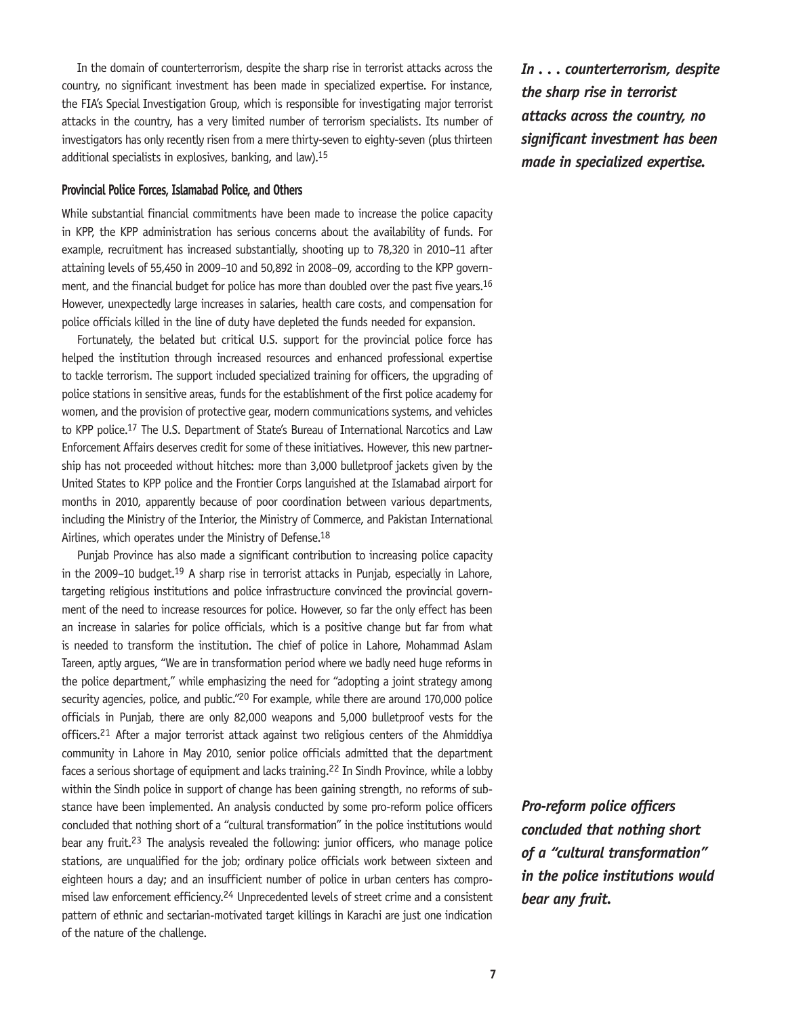In the domain of counterterrorism, despite the sharp rise in terrorist attacks across the country, no significant investment has been made in specialized expertise. For instance, the FIA's Special Investigation Group, which is responsible for investigating major terrorist attacks in the country, has a very limited number of terrorism specialists. Its number of investigators has only recently risen from a mere thirty-seven to eighty-seven (plus thirteen additional specialists in explosives, banking, and law).15

#### **Provincial Police Forces, Islamabad Police, and Others**

While substantial financial commitments have been made to increase the police capacity in KPP, the KPP administration has serious concerns about the availability of funds. For example, recruitment has increased substantially, shooting up to 78,320 in 2010–11 after attaining levels of 55,450 in 2009–10 and 50,892 in 2008–09, according to the KPP government, and the financial budget for police has more than doubled over the past five years.<sup>16</sup> However, unexpectedly large increases in salaries, health care costs, and compensation for police officials killed in the line of duty have depleted the funds needed for expansion.

Fortunately, the belated but critical U.S. support for the provincial police force has helped the institution through increased resources and enhanced professional expertise to tackle terrorism. The support included specialized training for officers, the upgrading of police stations in sensitive areas, funds for the establishment of the first police academy for women, and the provision of protective gear, modern communications systems, and vehicles to KPP police.17 The U.S. Department of State's Bureau of International Narcotics and Law Enforcement Affairs deserves credit for some of these initiatives. However, this new partnership has not proceeded without hitches: more than 3,000 bulletproof jackets given by the United States to KPP police and the Frontier Corps languished at the Islamabad airport for months in 2010, apparently because of poor coordination between various departments, including the Ministry of the Interior, the Ministry of Commerce, and Pakistan International Airlines, which operates under the Ministry of Defense.<sup>18</sup>

Punjab Province has also made a significant contribution to increasing police capacity in the 2009–10 budget.<sup>19</sup> A sharp rise in terrorist attacks in Punjab, especially in Lahore, targeting religious institutions and police infrastructure convinced the provincial government of the need to increase resources for police. However, so far the only effect has been an increase in salaries for police officials, which is a positive change but far from what is needed to transform the institution. The chief of police in Lahore, Mohammad Aslam Tareen, aptly argues, "We are in transformation period where we badly need huge reforms in the police department," while emphasizing the need for "adopting a joint strategy among security agencies, police, and public."<sup>20</sup> For example, while there are around 170,000 police officials in Punjab, there are only 82,000 weapons and 5,000 bulletproof vests for the officers.21 After a major terrorist attack against two religious centers of the Ahmiddiya community in Lahore in May 2010, senior police officials admitted that the department faces a serious shortage of equipment and lacks training.<sup>22</sup> In Sindh Province, while a lobby within the Sindh police in support of change has been gaining strength, no reforms of substance have been implemented. An analysis conducted by some pro-reform police officers concluded that nothing short of a "cultural transformation" in the police institutions would bear any fruit.<sup>23</sup> The analysis revealed the following: junior officers, who manage police stations, are unqualified for the job; ordinary police officials work between sixteen and eighteen hours a day; and an insufficient number of police in urban centers has compromised law enforcement efficiency.<sup>24</sup> Unprecedented levels of street crime and a consistent pattern of ethnic and sectarian-motivated target killings in Karachi are just one indication of the nature of the challenge.

*In . . . counterterrorism, despite the sharp rise in terrorist attacks across the country, no significant investment has been made in specialized expertise.*

*Pro-reform police officers concluded that nothing short of a "cultural transformation" in the police institutions would bear any fruit.*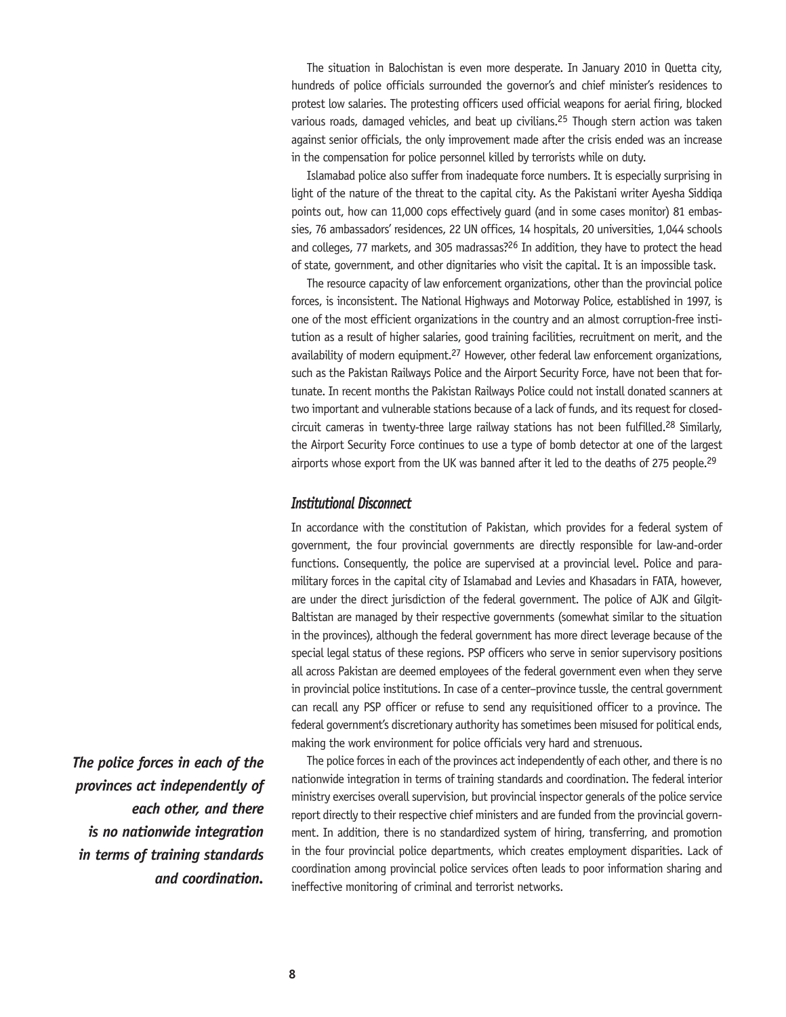The situation in Balochistan is even more desperate. In January 2010 in Quetta city, hundreds of police officials surrounded the governor's and chief minister's residences to protest low salaries. The protesting officers used official weapons for aerial firing, blocked various roads, damaged vehicles, and beat up civilians.25 Though stern action was taken against senior officials, the only improvement made after the crisis ended was an increase in the compensation for police personnel killed by terrorists while on duty.

Islamabad police also suffer from inadequate force numbers. It is especially surprising in light of the nature of the threat to the capital city. As the Pakistani writer Ayesha Siddiqa points out, how can 11,000 cops effectively guard (and in some cases monitor) 81 embassies, 76 ambassadors' residences, 22 UN offices, 14 hospitals, 20 universities, 1,044 schools and colleges, 77 markets, and 305 madrassas?26 In addition, they have to protect the head of state, government, and other dignitaries who visit the capital. It is an impossible task.

The resource capacity of law enforcement organizations, other than the provincial police forces, is inconsistent. The National Highways and Motorway Police, established in 1997, is one of the most efficient organizations in the country and an almost corruption-free institution as a result of higher salaries, good training facilities, recruitment on merit, and the availability of modern equipment.<sup>27</sup> However, other federal law enforcement organizations, such as the Pakistan Railways Police and the Airport Security Force, have not been that fortunate. In recent months the Pakistan Railways Police could not install donated scanners at two important and vulnerable stations because of a lack of funds, and its request for closedcircuit cameras in twenty-three large railway stations has not been fulfilled.28 Similarly, the Airport Security Force continues to use a type of bomb detector at one of the largest airports whose export from the UK was banned after it led to the deaths of 275 people.<sup>29</sup>

#### *Institutional Disconnect*

In accordance with the constitution of Pakistan, which provides for a federal system of government, the four provincial governments are directly responsible for law-and-order functions. Consequently, the police are supervised at a provincial level. Police and paramilitary forces in the capital city of Islamabad and Levies and Khasadars in FATA, however, are under the direct jurisdiction of the federal government. The police of AJK and Gilgit-Baltistan are managed by their respective governments (somewhat similar to the situation in the provinces), although the federal government has more direct leverage because of the special legal status of these regions. PSP officers who serve in senior supervisory positions all across Pakistan are deemed employees of the federal government even when they serve in provincial police institutions. In case of a center–province tussle, the central government can recall any PSP officer or refuse to send any requisitioned officer to a province. The federal government's discretionary authority has sometimes been misused for political ends, making the work environment for police officials very hard and strenuous.

The police forces in each of the provinces act independently of each other, and there is no nationwide integration in terms of training standards and coordination. The federal interior ministry exercises overall supervision, but provincial inspector generals of the police service report directly to their respective chief ministers and are funded from the provincial government. In addition, there is no standardized system of hiring, transferring, and promotion in the four provincial police departments, which creates employment disparities. Lack of coordination among provincial police services often leads to poor information sharing and ineffective monitoring of criminal and terrorist networks.

*The police forces in each of the provinces act independently of each other, and there is no nationwide integration in terms of training standards and coordination.*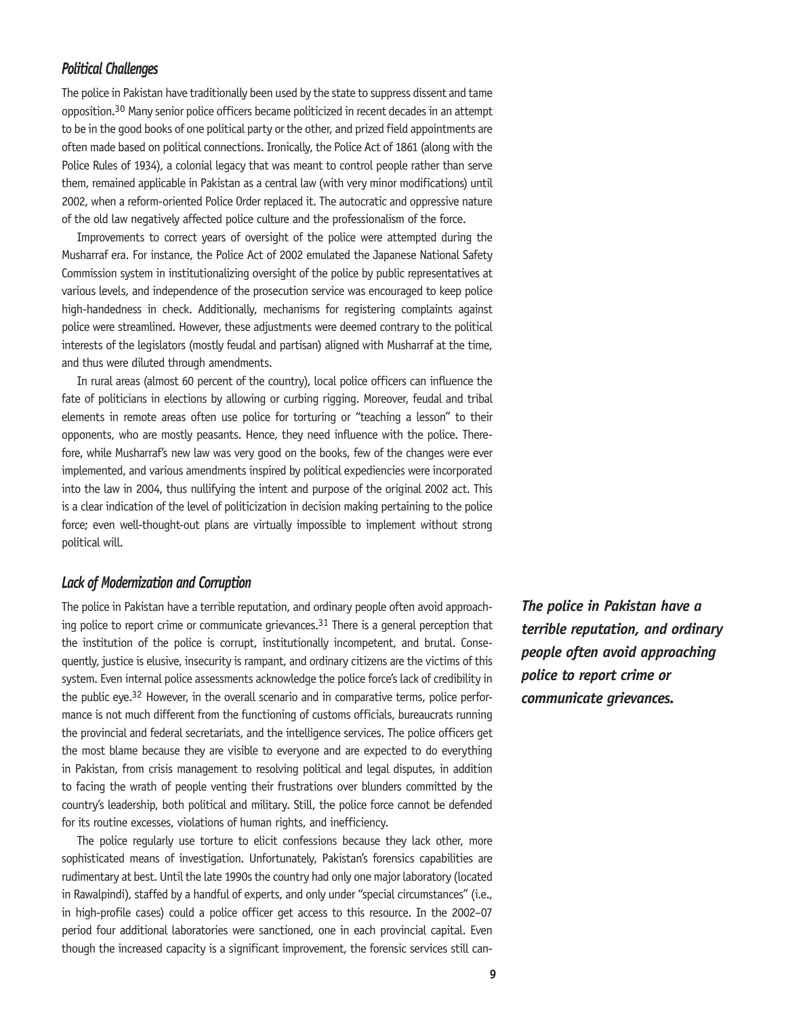#### *Political Challenges*

The police in Pakistan have traditionally been used by the state to suppress dissent and tame opposition.30 Many senior police officers became politicized in recent decades in an attempt to be in the good books of one political party or the other, and prized field appointments are often made based on political connections. Ironically, the Police Act of 1861 (along with the Police Rules of 1934), a colonial legacy that was meant to control people rather than serve them, remained applicable in Pakistan as a central law (with very minor modifications) until 2002, when a reform-oriented Police Order replaced it. The autocratic and oppressive nature of the old law negatively affected police culture and the professionalism of the force.

Improvements to correct years of oversight of the police were attempted during the Musharraf era. For instance, the Police Act of 2002 emulated the Japanese National Safety Commission system in institutionalizing oversight of the police by public representatives at various levels, and independence of the prosecution service was encouraged to keep police high-handedness in check. Additionally, mechanisms for registering complaints against police were streamlined. However, these adjustments were deemed contrary to the political interests of the legislators (mostly feudal and partisan) aligned with Musharraf at the time, and thus were diluted through amendments.

In rural areas (almost 60 percent of the country), local police officers can influence the fate of politicians in elections by allowing or curbing rigging. Moreover, feudal and tribal elements in remote areas often use police for torturing or "teaching a lesson" to their opponents, who are mostly peasants. Hence, they need influence with the police. Therefore, while Musharraf's new law was very good on the books, few of the changes were ever implemented, and various amendments inspired by political expediencies were incorporated into the law in 2004, thus nullifying the intent and purpose of the original 2002 act. This is a clear indication of the level of politicization in decision making pertaining to the police force; even well-thought-out plans are virtually impossible to implement without strong political will.

#### *Lack of Modernization and Corruption*

The police in Pakistan have a terrible reputation, and ordinary people often avoid approaching police to report crime or communicate grievances.<sup>31</sup> There is a general perception that the institution of the police is corrupt, institutionally incompetent, and brutal. Consequently, justice is elusive, insecurity is rampant, and ordinary citizens are the victims of this system. Even internal police assessments acknowledge the police force's lack of credibility in the public eye.<sup>32</sup> However, in the overall scenario and in comparative terms, police performance is not much different from the functioning of customs officials, bureaucrats running the provincial and federal secretariats, and the intelligence services. The police officers get the most blame because they are visible to everyone and are expected to do everything in Pakistan, from crisis management to resolving political and legal disputes, in addition to facing the wrath of people venting their frustrations over blunders committed by the country's leadership, both political and military. Still, the police force cannot be defended for its routine excesses, violations of human rights, and inefficiency.

The police regularly use torture to elicit confessions because they lack other, more sophisticated means of investigation. Unfortunately, Pakistan's forensics capabilities are rudimentary at best. Until the late 1990s the country had only one major laboratory (located in Rawalpindi), staffed by a handful of experts, and only under "special circumstances" (i.e., in high-profile cases) could a police officer get access to this resource. In the 2002–07 period four additional laboratories were sanctioned, one in each provincial capital. Even though the increased capacity is a significant improvement, the forensic services still can-

*The police in Pakistan have a terrible reputation, and ordinary people often avoid approaching police to report crime or communicate grievances.*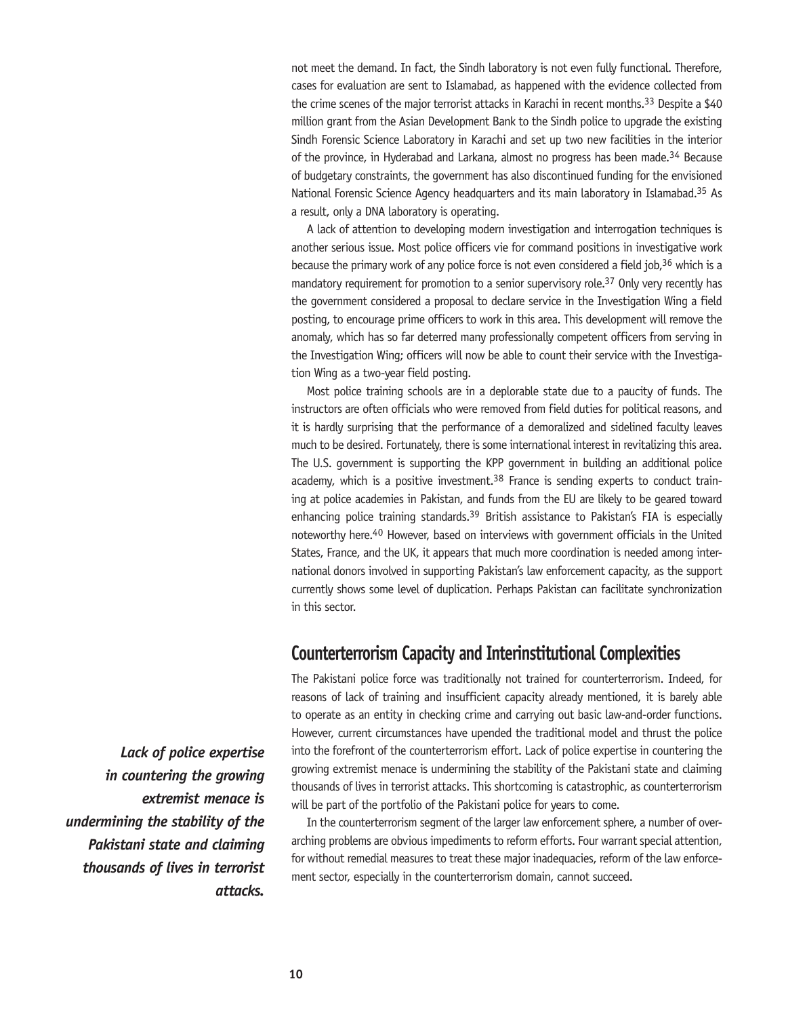not meet the demand. In fact, the Sindh laboratory is not even fully functional. Therefore, cases for evaluation are sent to Islamabad, as happened with the evidence collected from the crime scenes of the major terrorist attacks in Karachi in recent months.<sup>33</sup> Despite a \$40 million grant from the Asian Development Bank to the Sindh police to upgrade the existing Sindh Forensic Science Laboratory in Karachi and set up two new facilities in the interior of the province, in Hyderabad and Larkana, almost no progress has been made.<sup>34</sup> Because of budgetary constraints, the government has also discontinued funding for the envisioned National Forensic Science Agency headquarters and its main laboratory in Islamabad.35 As a result, only a DNA laboratory is operating.

A lack of attention to developing modern investigation and interrogation techniques is another serious issue. Most police officers vie for command positions in investigative work because the primary work of any police force is not even considered a field job,<sup>36</sup> which is a mandatory requirement for promotion to a senior supervisory role.<sup>37</sup> Only very recently has the government considered a proposal to declare service in the Investigation Wing a field posting, to encourage prime officers to work in this area. This development will remove the anomaly, which has so far deterred many professionally competent officers from serving in the Investigation Wing; officers will now be able to count their service with the Investigation Wing as a two-year field posting.

Most police training schools are in a deplorable state due to a paucity of funds. The instructors are often officials who were removed from field duties for political reasons, and it is hardly surprising that the performance of a demoralized and sidelined faculty leaves much to be desired. Fortunately, there is some international interest in revitalizing this area. The U.S. government is supporting the KPP government in building an additional police academy, which is a positive investment.<sup>38</sup> France is sending experts to conduct training at police academies in Pakistan, and funds from the EU are likely to be geared toward enhancing police training standards.<sup>39</sup> British assistance to Pakistan's FIA is especially noteworthy here.40 However, based on interviews with government officials in the United States, France, and the UK, it appears that much more coordination is needed among international donors involved in supporting Pakistan's law enforcement capacity, as the support currently shows some level of duplication. Perhaps Pakistan can facilitate synchronization in this sector.

# **Counterterrorism Capacity and Interinstitutional Complexities**

The Pakistani police force was traditionally not trained for counterterrorism. Indeed, for reasons of lack of training and insufficient capacity already mentioned, it is barely able to operate as an entity in checking crime and carrying out basic law-and-order functions. However, current circumstances have upended the traditional model and thrust the police into the forefront of the counterterrorism effort. Lack of police expertise in countering the growing extremist menace is undermining the stability of the Pakistani state and claiming thousands of lives in terrorist attacks. This shortcoming is catastrophic, as counterterrorism will be part of the portfolio of the Pakistani police for years to come.

In the counterterrorism segment of the larger law enforcement sphere, a number of overarching problems are obvious impediments to reform efforts. Four warrant special attention, for without remedial measures to treat these major inadequacies, reform of the law enforcement sector, especially in the counterterrorism domain, cannot succeed.

*Lack of police expertise in countering the growing extremist menace is undermining the stability of the Pakistani state and claiming thousands of lives in terrorist attacks.*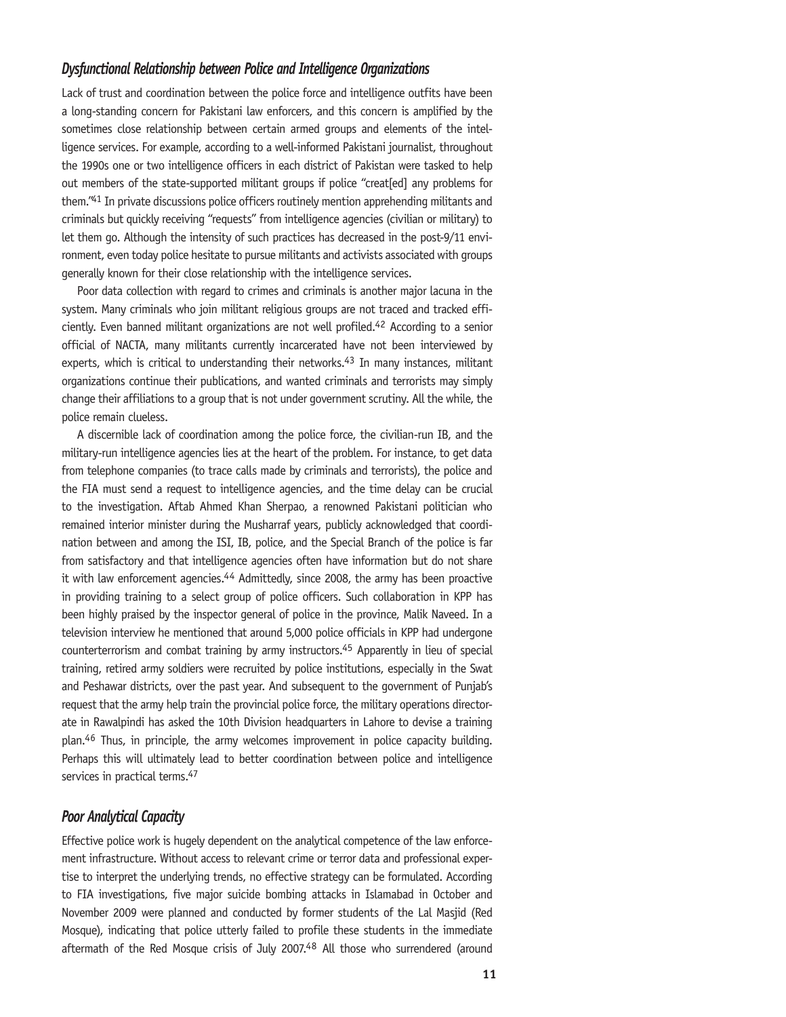#### *Dysfunctional Relationship between Police and Intelligence Organizations*

Lack of trust and coordination between the police force and intelligence outfits have been a long-standing concern for Pakistani law enforcers, and this concern is amplified by the sometimes close relationship between certain armed groups and elements of the intelligence services. For example, according to a well-informed Pakistani journalist, throughout the 1990s one or two intelligence officers in each district of Pakistan were tasked to help out members of the state-supported militant groups if police "creat[ed] any problems for them."41 In private discussions police officers routinely mention apprehending militants and criminals but quickly receiving "requests" from intelligence agencies (civilian or military) to let them go. Although the intensity of such practices has decreased in the post-9/11 environment, even today police hesitate to pursue militants and activists associated with groups generally known for their close relationship with the intelligence services.

Poor data collection with regard to crimes and criminals is another major lacuna in the system. Many criminals who join militant religious groups are not traced and tracked efficiently. Even banned militant organizations are not well profiled.42 According to a senior official of NACTA, many militants currently incarcerated have not been interviewed by experts, which is critical to understanding their networks.<sup>43</sup> In many instances, militant organizations continue their publications, and wanted criminals and terrorists may simply change their affiliations to a group that is not under government scrutiny. All the while, the police remain clueless.

A discernible lack of coordination among the police force, the civilian-run IB, and the military-run intelligence agencies lies at the heart of the problem. For instance, to get data from telephone companies (to trace calls made by criminals and terrorists), the police and the FIA must send a request to intelligence agencies, and the time delay can be crucial to the investigation. Aftab Ahmed Khan Sherpao, a renowned Pakistani politician who remained interior minister during the Musharraf years, publicly acknowledged that coordination between and among the ISI, IB, police, and the Special Branch of the police is far from satisfactory and that intelligence agencies often have information but do not share it with law enforcement agencies.<sup>44</sup> Admittedly, since 2008, the army has been proactive in providing training to a select group of police officers. Such collaboration in KPP has been highly praised by the inspector general of police in the province, Malik Naveed. In a television interview he mentioned that around 5,000 police officials in KPP had undergone counterterrorism and combat training by army instructors.<sup>45</sup> Apparently in lieu of special training, retired army soldiers were recruited by police institutions, especially in the Swat and Peshawar districts, over the past year. And subsequent to the government of Punjab's request that the army help train the provincial police force, the military operations directorate in Rawalpindi has asked the 10th Division headquarters in Lahore to devise a training plan.46 Thus, in principle, the army welcomes improvement in police capacity building. Perhaps this will ultimately lead to better coordination between police and intelligence services in practical terms.<sup>47</sup>

#### *Poor Analytical Capacity*

Effective police work is hugely dependent on the analytical competence of the law enforcement infrastructure. Without access to relevant crime or terror data and professional expertise to interpret the underlying trends, no effective strategy can be formulated. According to FIA investigations, five major suicide bombing attacks in Islamabad in October and November 2009 were planned and conducted by former students of the Lal Masjid (Red Mosque), indicating that police utterly failed to profile these students in the immediate aftermath of the Red Mosque crisis of July 2007.48 All those who surrendered (around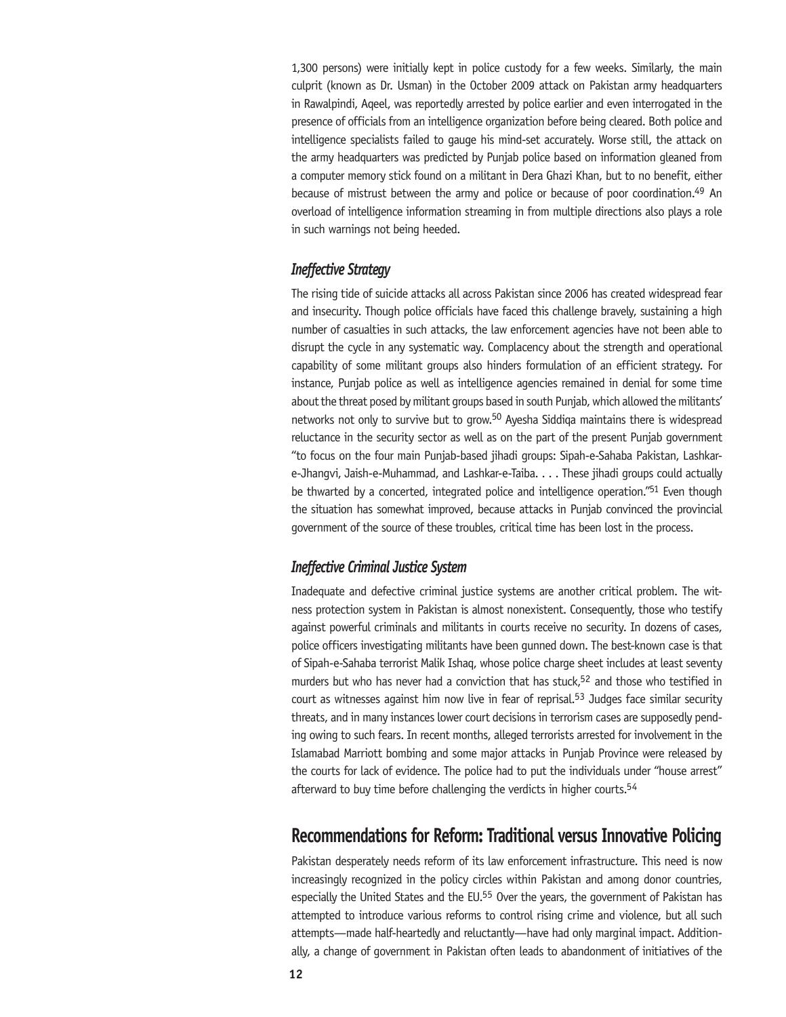1,300 persons) were initially kept in police custody for a few weeks. Similarly, the main culprit (known as Dr. Usman) in the October 2009 attack on Pakistan army headquarters in Rawalpindi, Aqeel, was reportedly arrested by police earlier and even interrogated in the presence of officials from an intelligence organization before being cleared. Both police and intelligence specialists failed to gauge his mind-set accurately. Worse still, the attack on the army headquarters was predicted by Punjab police based on information gleaned from a computer memory stick found on a militant in Dera Ghazi Khan, but to no benefit, either because of mistrust between the army and police or because of poor coordination.49 An overload of intelligence information streaming in from multiple directions also plays a role in such warnings not being heeded.

#### *Ineffective Strategy*

The rising tide of suicide attacks all across Pakistan since 2006 has created widespread fear and insecurity. Though police officials have faced this challenge bravely, sustaining a high number of casualties in such attacks, the law enforcement agencies have not been able to disrupt the cycle in any systematic way. Complacency about the strength and operational capability of some militant groups also hinders formulation of an efficient strategy. For instance, Punjab police as well as intelligence agencies remained in denial for some time about the threat posed by militant groups based in south Punjab, which allowed the militants' networks not only to survive but to grow.50 Ayesha Siddiqa maintains there is widespread reluctance in the security sector as well as on the part of the present Punjab government "to focus on the four main Punjab-based jihadi groups: Sipah-e-Sahaba Pakistan, Lashkare-Jhangvi, Jaish-e-Muhammad, and Lashkar-e-Taiba. . . . These jihadi groups could actually be thwarted by a concerted, integrated police and intelligence operation."<sup>51</sup> Even though the situation has somewhat improved, because attacks in Punjab convinced the provincial government of the source of these troubles, critical time has been lost in the process.

#### *Ineffective Criminal Justice System*

Inadequate and defective criminal justice systems are another critical problem. The witness protection system in Pakistan is almost nonexistent. Consequently, those who testify against powerful criminals and militants in courts receive no security. In dozens of cases, police officers investigating militants have been gunned down. The best-known case is that of Sipah-e-Sahaba terrorist Malik Ishaq, whose police charge sheet includes at least seventy murders but who has never had a conviction that has stuck,<sup>52</sup> and those who testified in court as witnesses against him now live in fear of reprisal.<sup>53</sup> Judges face similar security threats, and in many instances lower court decisions in terrorism cases are supposedly pending owing to such fears. In recent months, alleged terrorists arrested for involvement in the Islamabad Marriott bombing and some major attacks in Punjab Province were released by the courts for lack of evidence. The police had to put the individuals under "house arrest" afterward to buy time before challenging the verdicts in higher courts.<sup>54</sup>

# **Recommendations for Reform: Traditional versus Innovative Policing**

Pakistan desperately needs reform of its law enforcement infrastructure. This need is now increasingly recognized in the policy circles within Pakistan and among donor countries, especially the United States and the EU.<sup>55</sup> Over the years, the government of Pakistan has attempted to introduce various reforms to control rising crime and violence, but all such attempts—made half-heartedly and reluctantly—have had only marginal impact. Additionally, a change of government in Pakistan often leads to abandonment of initiatives of the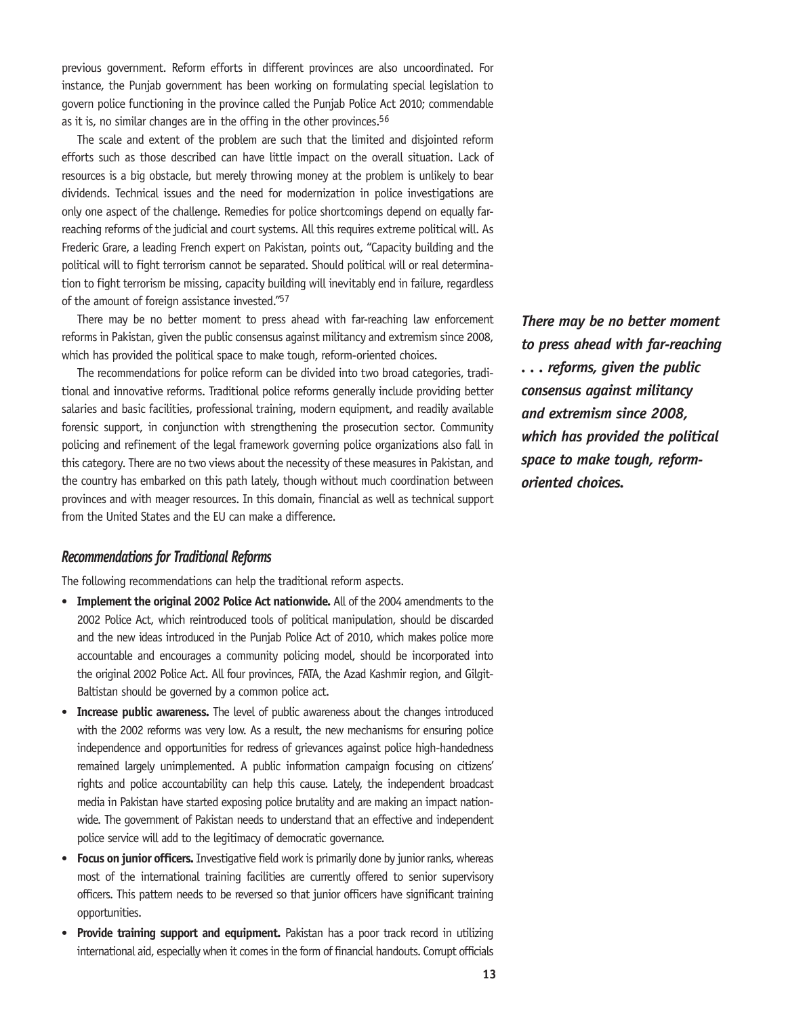previous government. Reform efforts in different provinces are also uncoordinated. For instance, the Punjab government has been working on formulating special legislation to govern police functioning in the province called the Punjab Police Act 2010; commendable as it is, no similar changes are in the offing in the other provinces.<sup>56</sup>

The scale and extent of the problem are such that the limited and disjointed reform efforts such as those described can have little impact on the overall situation. Lack of resources is a big obstacle, but merely throwing money at the problem is unlikely to bear dividends. Technical issues and the need for modernization in police investigations are only one aspect of the challenge. Remedies for police shortcomings depend on equally farreaching reforms of the judicial and court systems. All this requires extreme political will. As Frederic Grare, a leading French expert on Pakistan, points out, "Capacity building and the political will to fight terrorism cannot be separated. Should political will or real determination to fight terrorism be missing, capacity building will inevitably end in failure, regardless of the amount of foreign assistance invested."57

There may be no better moment to press ahead with far-reaching law enforcement reforms in Pakistan, given the public consensus against militancy and extremism since 2008, which has provided the political space to make tough, reform-oriented choices.

The recommendations for police reform can be divided into two broad categories, traditional and innovative reforms. Traditional police reforms generally include providing better salaries and basic facilities, professional training, modern equipment, and readily available forensic support, in conjunction with strengthening the prosecution sector. Community policing and refinement of the legal framework governing police organizations also fall in this category. There are no two views about the necessity of these measures in Pakistan, and the country has embarked on this path lately, though without much coordination between provinces and with meager resources. In this domain, financial as well as technical support from the United States and the EU can make a difference.

*There may be no better moment to press ahead with far-reaching . . . reforms, given the public consensus against militancy and extremism since 2008, which has provided the political space to make tough, reformoriented choices.*

#### *Recommendations for Traditional Reforms*

The following recommendations can help the traditional reform aspects.

- • **Implement the original 2002 Police Act nationwide.** All of the 2004 amendments to the 2002 Police Act, which reintroduced tools of political manipulation, should be discarded and the new ideas introduced in the Punjab Police Act of 2010, which makes police more accountable and encourages a community policing model, should be incorporated into the original 2002 Police Act. All four provinces, FATA, the Azad Kashmir region, and Gilgit-Baltistan should be governed by a common police act.
- Increase public awareness. The level of public awareness about the changes introduced with the 2002 reforms was very low. As a result, the new mechanisms for ensuring police independence and opportunities for redress of grievances against police high-handedness remained largely unimplemented. A public information campaign focusing on citizens' rights and police accountability can help this cause. Lately, the independent broadcast media in Pakistan have started exposing police brutality and are making an impact nationwide. The government of Pakistan needs to understand that an effective and independent police service will add to the legitimacy of democratic governance.
- **Focus on junior officers.** Investigative field work is primarily done by junior ranks, whereas most of the international training facilities are currently offered to senior supervisory officers. This pattern needs to be reversed so that junior officers have significant training opportunities.
- **Provide training support and equipment.** Pakistan has a poor track record in utilizing international aid, especially when it comes in the form of financial handouts. Corrupt officials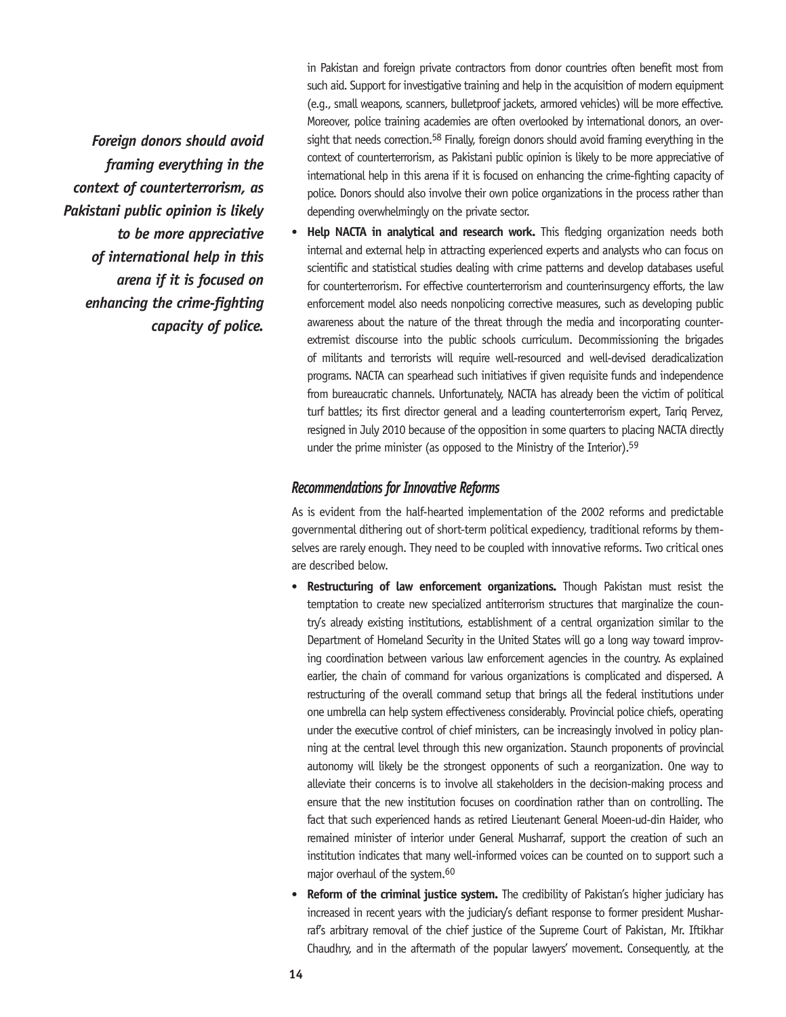*Foreign donors should avoid framing everything in the context of counterterrorism, as Pakistani public opinion is likely to be more appreciative of international help in this arena if it is focused on enhancing the crime-fighting capacity of police.* 

in Pakistan and foreign private contractors from donor countries often benefit most from such aid. Support for investigative training and help in the acquisition of modern equipment (e.g., small weapons, scanners, bulletproof jackets, armored vehicles) will be more effective. Moreover, police training academies are often overlooked by international donors, an oversight that needs correction.<sup>58</sup> Finally, foreign donors should avoid framing everything in the context of counterterrorism, as Pakistani public opinion is likely to be more appreciative of international help in this arena if it is focused on enhancing the crime-fighting capacity of police. Donors should also involve their own police organizations in the process rather than depending overwhelmingly on the private sector.

Help NACTA in analytical and research work. This fledging organization needs both internal and external help in attracting experienced experts and analysts who can focus on scientific and statistical studies dealing with crime patterns and develop databases useful for counterterrorism. For effective counterterrorism and counterinsurgency efforts, the law enforcement model also needs nonpolicing corrective measures, such as developing public awareness about the nature of the threat through the media and incorporating counterextremist discourse into the public schools curriculum. Decommissioning the brigades of militants and terrorists will require well-resourced and well-devised deradicalization programs. NACTA can spearhead such initiatives if given requisite funds and independence from bureaucratic channels. Unfortunately, NACTA has already been the victim of political turf battles; its first director general and a leading counterterrorism expert, Tariq Pervez, resigned in July 2010 because of the opposition in some quarters to placing NACTA directly under the prime minister (as opposed to the Ministry of the Interior).<sup>59</sup>

#### *Recommendations for Innovative Reforms*

As is evident from the half-hearted implementation of the 2002 reforms and predictable governmental dithering out of short-term political expediency, traditional reforms by themselves are rarely enough. They need to be coupled with innovative reforms. Two critical ones are described below.

- • **Restructuring of law enforcement organizations.** Though Pakistan must resist the temptation to create new specialized antiterrorism structures that marginalize the country's already existing institutions, establishment of a central organization similar to the Department of Homeland Security in the United States will go a long way toward improving coordination between various law enforcement agencies in the country. As explained earlier, the chain of command for various organizations is complicated and dispersed. A restructuring of the overall command setup that brings all the federal institutions under one umbrella can help system effectiveness considerably. Provincial police chiefs, operating under the executive control of chief ministers, can be increasingly involved in policy planning at the central level through this new organization. Staunch proponents of provincial autonomy will likely be the strongest opponents of such a reorganization. One way to alleviate their concerns is to involve all stakeholders in the decision-making process and ensure that the new institution focuses on coordination rather than on controlling. The fact that such experienced hands as retired Lieutenant General Moeen-ud-din Haider, who remained minister of interior under General Musharraf, support the creation of such an institution indicates that many well-informed voices can be counted on to support such a major overhaul of the system.60
- **Reform of the criminal justice system.** The credibility of Pakistan's higher judiciary has increased in recent years with the judiciary's defiant response to former president Musharraf's arbitrary removal of the chief justice of the Supreme Court of Pakistan, Mr. Iftikhar Chaudhry, and in the aftermath of the popular lawyers' movement. Consequently, at the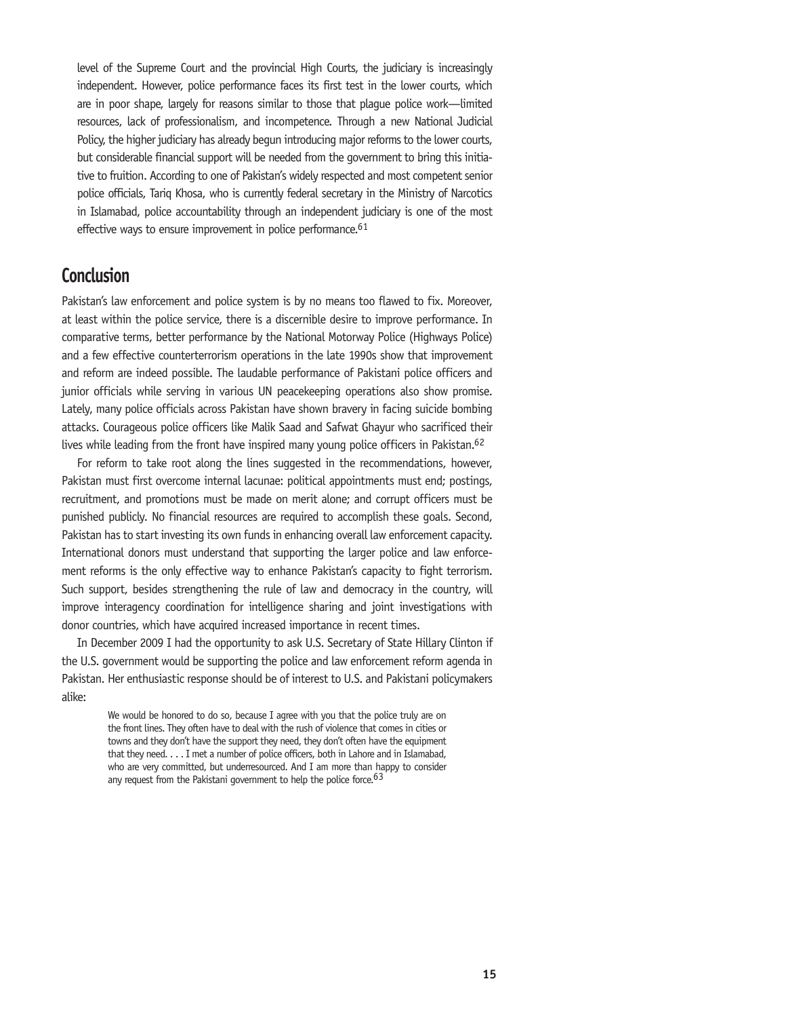level of the Supreme Court and the provincial High Courts, the judiciary is increasingly independent. However, police performance faces its first test in the lower courts, which are in poor shape, largely for reasons similar to those that plague police work—limited resources, lack of professionalism, and incompetence. Through a new National Judicial Policy, the higher judiciary has already begun introducing major reforms to the lower courts, but considerable financial support will be needed from the government to bring this initiative to fruition. According to one of Pakistan's widely respected and most competent senior police officials, Tariq Khosa, who is currently federal secretary in the Ministry of Narcotics in Islamabad, police accountability through an independent judiciary is one of the most effective ways to ensure improvement in police performance.<sup>61</sup>

# **Conclusion**

Pakistan's law enforcement and police system is by no means too flawed to fix. Moreover, at least within the police service, there is a discernible desire to improve performance. In comparative terms, better performance by the National Motorway Police (Highways Police) and a few effective counterterrorism operations in the late 1990s show that improvement and reform are indeed possible. The laudable performance of Pakistani police officers and junior officials while serving in various UN peacekeeping operations also show promise. Lately, many police officials across Pakistan have shown bravery in facing suicide bombing attacks. Courageous police officers like Malik Saad and Safwat Ghayur who sacrificed their lives while leading from the front have inspired many young police officers in Pakistan.<sup>62</sup>

For reform to take root along the lines suggested in the recommendations, however, Pakistan must first overcome internal lacunae: political appointments must end; postings, recruitment, and promotions must be made on merit alone; and corrupt officers must be punished publicly. No financial resources are required to accomplish these goals. Second, Pakistan has to start investing its own funds in enhancing overall law enforcement capacity. International donors must understand that supporting the larger police and law enforcement reforms is the only effective way to enhance Pakistan's capacity to fight terrorism. Such support, besides strengthening the rule of law and democracy in the country, will improve interagency coordination for intelligence sharing and joint investigations with donor countries, which have acquired increased importance in recent times.

In December 2009 I had the opportunity to ask U.S. Secretary of State Hillary Clinton if the U.S. government would be supporting the police and law enforcement reform agenda in Pakistan. Her enthusiastic response should be of interest to U.S. and Pakistani policymakers alike:

> We would be honored to do so, because I agree with you that the police truly are on the front lines. They often have to deal with the rush of violence that comes in cities or towns and they don't have the support they need, they don't often have the equipment that they need. . . . I met a number of police officers, both in Lahore and in Islamabad, who are very committed, but underresourced. And I am more than happy to consider any request from the Pakistani government to help the police force.  $63$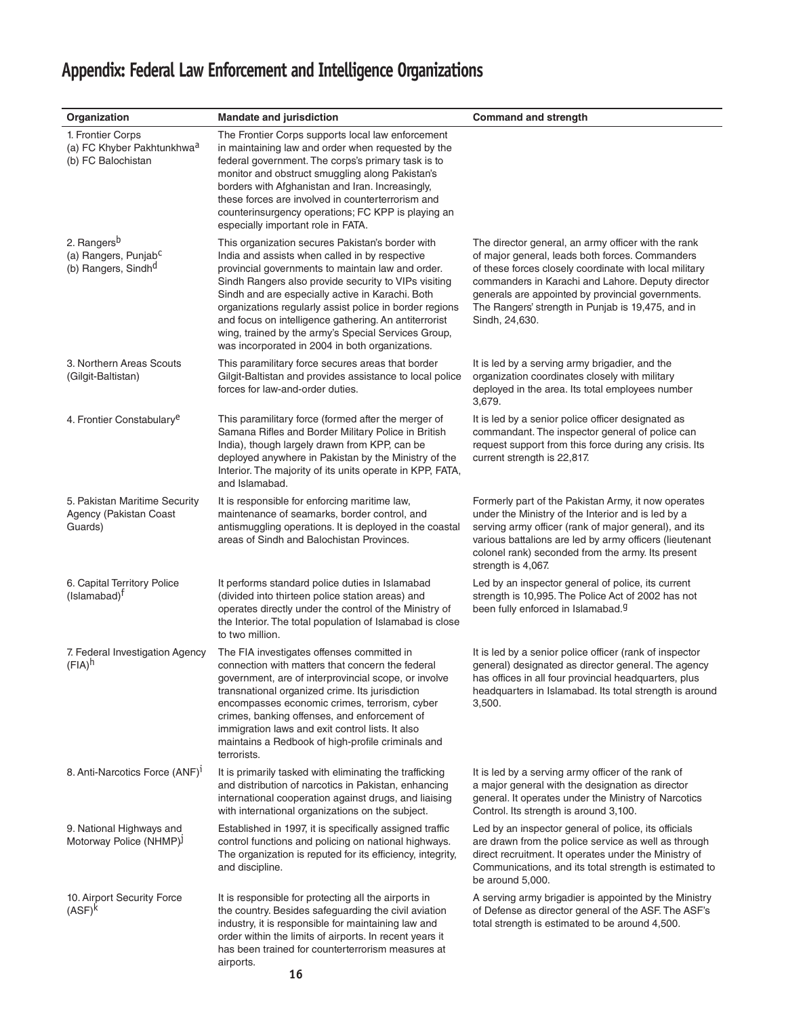# **Appendix: Federal Law Enforcement and Intelligence Organizations**

| Organization                                                                                   | <b>Mandate and jurisdiction</b>                                                                                                                                                                                                                                                                                                                                                                                                                                                                   | <b>Command and strength</b>                                                                                                                                                                                                                                                                                                                       |
|------------------------------------------------------------------------------------------------|---------------------------------------------------------------------------------------------------------------------------------------------------------------------------------------------------------------------------------------------------------------------------------------------------------------------------------------------------------------------------------------------------------------------------------------------------------------------------------------------------|---------------------------------------------------------------------------------------------------------------------------------------------------------------------------------------------------------------------------------------------------------------------------------------------------------------------------------------------------|
| 1. Frontier Corps<br>(a) FC Khyber Pakhtunkhwa <sup>a</sup><br>(b) FC Balochistan              | The Frontier Corps supports local law enforcement<br>in maintaining law and order when requested by the<br>federal government. The corps's primary task is to<br>monitor and obstruct smuggling along Pakistan's<br>borders with Afghanistan and Iran. Increasingly,<br>these forces are involved in counterterrorism and<br>counterinsurgency operations; FC KPP is playing an<br>especially important role in FATA.                                                                             |                                                                                                                                                                                                                                                                                                                                                   |
| 2. Rangers <sup>b</sup><br>(a) Rangers, Punjab <sup>c</sup><br>(b) Rangers, Sindh <sup>d</sup> | This organization secures Pakistan's border with<br>India and assists when called in by respective<br>provincial governments to maintain law and order.<br>Sindh Rangers also provide security to VIPs visiting<br>Sindh and are especially active in Karachi. Both<br>organizations regularly assist police in border regions<br>and focus on intelligence gathering. An antiterrorist<br>wing, trained by the army's Special Services Group,<br>was incorporated in 2004 in both organizations. | The director general, an army officer with the rank<br>of major general, leads both forces. Commanders<br>of these forces closely coordinate with local military<br>commanders in Karachi and Lahore. Deputy director<br>generals are appointed by provincial governments.<br>The Rangers' strength in Punjab is 19,475, and in<br>Sindh, 24,630. |
| 3. Northern Areas Scouts<br>(Gilgit-Baltistan)                                                 | This paramilitary force secures areas that border<br>Gilgit-Baltistan and provides assistance to local police<br>forces for law-and-order duties.                                                                                                                                                                                                                                                                                                                                                 | It is led by a serving army brigadier, and the<br>organization coordinates closely with military<br>deployed in the area. Its total employees number<br>3,679.                                                                                                                                                                                    |
| 4. Frontier Constabulary <sup>e</sup>                                                          | This paramilitary force (formed after the merger of<br>Samana Rifles and Border Military Police in British<br>India), though largely drawn from KPP, can be<br>deployed anywhere in Pakistan by the Ministry of the<br>Interior. The majority of its units operate in KPP, FATA,<br>and Islamabad.                                                                                                                                                                                                | It is led by a senior police officer designated as<br>commandant. The inspector general of police can<br>request support from this force during any crisis. Its<br>current strength is 22,817.                                                                                                                                                    |
| 5. Pakistan Maritime Security<br>Agency (Pakistan Coast<br>Guards)                             | It is responsible for enforcing maritime law,<br>maintenance of seamarks, border control, and<br>antismuggling operations. It is deployed in the coastal<br>areas of Sindh and Balochistan Provinces.                                                                                                                                                                                                                                                                                             | Formerly part of the Pakistan Army, it now operates<br>under the Ministry of the Interior and is led by a<br>serving army officer (rank of major general), and its<br>various battalions are led by army officers (lieutenant<br>colonel rank) seconded from the army. Its present<br>strength is 4,067.                                          |
| 6. Capital Territory Police<br>$(Islamabad)^{\dagger}$                                         | It performs standard police duties in Islamabad<br>(divided into thirteen police station areas) and<br>operates directly under the control of the Ministry of<br>the Interior. The total population of Islamabad is close<br>to two million.                                                                                                                                                                                                                                                      | Led by an inspector general of police, its current<br>strength is 10,995. The Police Act of 2002 has not<br>been fully enforced in Islamabad. <sup>g</sup>                                                                                                                                                                                        |
| 7. Federal Investigation Agency<br>$(FIA)^h$                                                   | The FIA investigates offenses committed in<br>connection with matters that concern the federal<br>government, are of interprovincial scope, or involve<br>transnational organized crime. Its jurisdiction<br>encompasses economic crimes, terrorism, cyber<br>crimes, banking offenses, and enforcement of<br>immigration laws and exit control lists. It also<br>maintains a Redbook of high-profile criminals and<br>terrorists.                                                                | It is led by a senior police officer (rank of inspector<br>general) designated as director general. The agency<br>has offices in all four provincial headquarters, plus<br>headquarters in Islamabad. Its total strength is around<br>3,500.                                                                                                      |
| 8. Anti-Narcotics Force (ANF) <sup>1</sup>                                                     | It is primarily tasked with eliminating the trafficking<br>and distribution of narcotics in Pakistan, enhancing<br>international cooperation against drugs, and liaising<br>with international organizations on the subject.                                                                                                                                                                                                                                                                      | It is led by a serving army officer of the rank of<br>a major general with the designation as director<br>general. It operates under the Ministry of Narcotics<br>Control. Its strength is around 3,100.                                                                                                                                          |
| 9. National Highways and<br>Motorway Police (NHMP)J                                            | Established in 1997, it is specifically assigned traffic<br>control functions and policing on national highways.<br>The organization is reputed for its efficiency, integrity,<br>and discipline.                                                                                                                                                                                                                                                                                                 | Led by an inspector general of police, its officials<br>are drawn from the police service as well as through<br>direct recruitment. It operates under the Ministry of<br>Communications, and its total strength is estimated to<br>be around 5,000.                                                                                               |
| 10. Airport Security Force<br>(ASF) <sup>k</sup>                                               | It is responsible for protecting all the airports in<br>the country. Besides safeguarding the civil aviation<br>industry, it is responsible for maintaining law and<br>order within the limits of airports. In recent years it<br>has been trained for counterterrorism measures at<br>airports.                                                                                                                                                                                                  | A serving army brigadier is appointed by the Ministry<br>of Defense as director general of the ASF. The ASF's<br>total strength is estimated to be around 4,500.                                                                                                                                                                                  |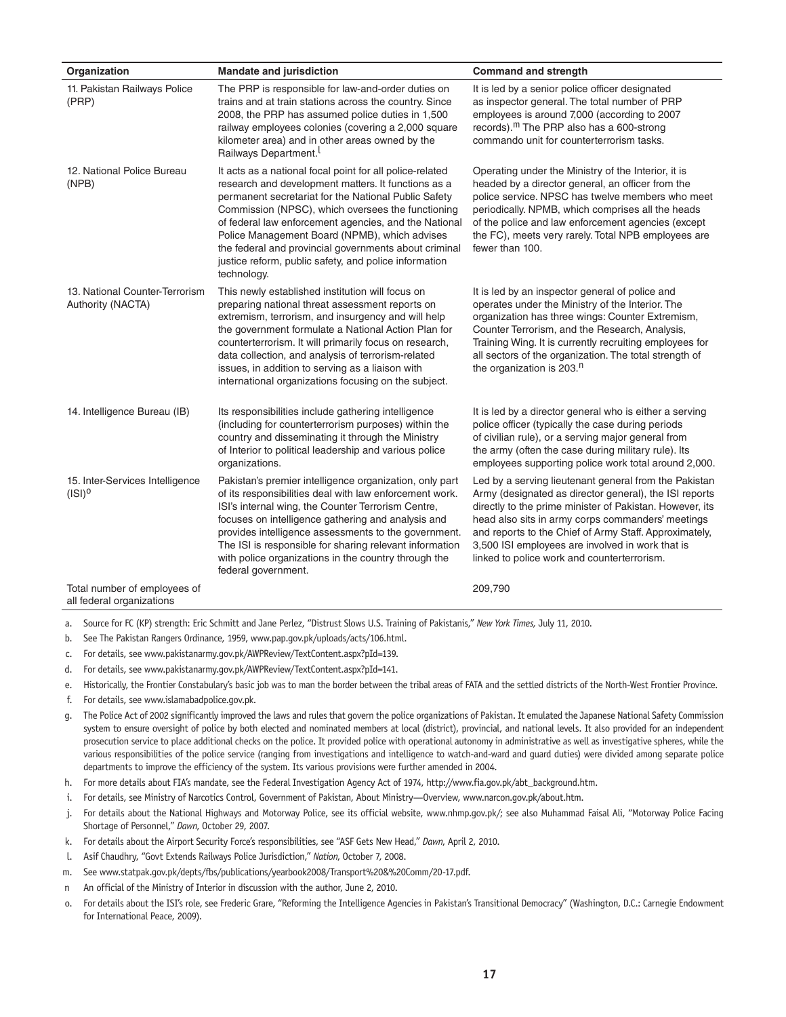| Organization                                              | <b>Mandate and jurisdiction</b>                                                                                                                                                                                                                                                                                                                                                                                                                                         | <b>Command and strength</b>                                                                                                                                                                                                                                                                                                                                                                   |
|-----------------------------------------------------------|-------------------------------------------------------------------------------------------------------------------------------------------------------------------------------------------------------------------------------------------------------------------------------------------------------------------------------------------------------------------------------------------------------------------------------------------------------------------------|-----------------------------------------------------------------------------------------------------------------------------------------------------------------------------------------------------------------------------------------------------------------------------------------------------------------------------------------------------------------------------------------------|
| 11. Pakistan Railways Police<br>(PRP)                     | The PRP is responsible for law-and-order duties on<br>trains and at train stations across the country. Since<br>2008, the PRP has assumed police duties in 1,500<br>railway employees colonies (covering a 2,000 square<br>kilometer area) and in other areas owned by the<br>Railways Department.                                                                                                                                                                      | It is led by a senior police officer designated<br>as inspector general. The total number of PRP<br>employees is around 7,000 (according to 2007<br>records). <sup>m</sup> The PRP also has a 600-strong<br>commando unit for counterterrorism tasks.                                                                                                                                         |
| 12. National Police Bureau<br>(NPB)                       | It acts as a national focal point for all police-related<br>research and development matters. It functions as a<br>permanent secretariat for the National Public Safety<br>Commission (NPSC), which oversees the functioning<br>of federal law enforcement agencies, and the National<br>Police Management Board (NPMB), which advises<br>the federal and provincial governments about criminal<br>justice reform, public safety, and police information<br>technology. | Operating under the Ministry of the Interior, it is<br>headed by a director general, an officer from the<br>police service. NPSC has twelve members who meet<br>periodically. NPMB, which comprises all the heads<br>of the police and law enforcement agencies (except<br>the FC), meets very rarely. Total NPB employees are<br>fewer than 100.                                             |
| 13. National Counter-Terrorism<br>Authority (NACTA)       | This newly established institution will focus on<br>preparing national threat assessment reports on<br>extremism, terrorism, and insurgency and will help<br>the government formulate a National Action Plan for<br>counterterrorism. It will primarily focus on research,<br>data collection, and analysis of terrorism-related<br>issues, in addition to serving as a liaison with<br>international organizations focusing on the subject.                            | It is led by an inspector general of police and<br>operates under the Ministry of the Interior. The<br>organization has three wings: Counter Extremism,<br>Counter Terrorism, and the Research, Analysis,<br>Training Wing. It is currently recruiting employees for<br>all sectors of the organization. The total strength of<br>the organization is 203. <sup>n</sup>                       |
| 14. Intelligence Bureau (IB)                              | Its responsibilities include gathering intelligence<br>(including for counterterrorism purposes) within the<br>country and disseminating it through the Ministry<br>of Interior to political leadership and various police<br>organizations.                                                                                                                                                                                                                            | It is led by a director general who is either a serving<br>police officer (typically the case during periods<br>of civilian rule), or a serving major general from<br>the army (often the case during military rule). Its<br>employees supporting police work total around 2,000.                                                                                                             |
| 15. Inter-Services Intelligence<br>(ISI) <sup>0</sup>     | Pakistan's premier intelligence organization, only part<br>of its responsibilities deal with law enforcement work.<br>ISI's internal wing, the Counter Terrorism Centre,<br>focuses on intelligence gathering and analysis and<br>provides intelligence assessments to the government.<br>The ISI is responsible for sharing relevant information<br>with police organizations in the country through the<br>federal government.                                        | Led by a serving lieutenant general from the Pakistan<br>Army (designated as director general), the ISI reports<br>directly to the prime minister of Pakistan. However, its<br>head also sits in army corps commanders' meetings<br>and reports to the Chief of Army Staff. Approximately,<br>3,500 ISI employees are involved in work that is<br>linked to police work and counterterrorism. |
| Total number of employees of<br>all federal organizations |                                                                                                                                                                                                                                                                                                                                                                                                                                                                         | 209,790                                                                                                                                                                                                                                                                                                                                                                                       |

- a. Source for FC (KP) strength: Eric Schmitt and Jane Perlez, "Distrust Slows U.S. Training of Pakistanis," *New York Times,* July 11, 2010.
- b. See The Pakistan Rangers Ordinance, 1959, www.pap.gov.pk/uploads/acts/106.html.
- c. For details, see www.pakistanarmy.gov.pk/AWPReview/TextContent.aspx?pId=139.
- d. For details, see www.pakistanarmy.gov.pk/AWPReview/TextContent.aspx?pId=141.
- e. Historically, the Frontier Constabulary's basic job was to man the border between the tribal areas of FATA and the settled districts of the North-West Frontier Province.
- f. For details, see www.islamabadpolice.gov.pk.
- g. The Police Act of 2002 significantly improved the laws and rules that govern the police organizations of Pakistan. It emulated the Japanese National Safety Commission system to ensure oversight of police by both elected and nominated members at local (district), provincial, and national levels. It also provided for an independent prosecution service to place additional checks on the police. It provided police with operational autonomy in administrative as well as investigative spheres, while the various responsibilities of the police service (ranging from investigations and intelligence to watch-and-ward and guard duties) were divided among separate police departments to improve the efficiency of the system. Its various provisions were further amended in 2004.
- h. For more details about FIA's mandate, see the Federal Investigation Agency Act of 1974, http://www.fia.gov.pk/abt\_background.htm.
- i. For details, see Ministry of Narcotics Control, Government of Pakistan, About Ministry—Overview, www.narcon.gov.pk/about.htm.
- j. For details about the National Highways and Motorway Police, see its official website, www.nhmp.gov.pk/; see also Muhammad Faisal Ali, "Motorway Police Facing Shortage of Personnel," *Dawn*, October 29, 2007.
- k. For details about the Airport Security Force's responsibilities, see "ASF Gets New Head," *Dawn*, April 2, 2010.
- l. Asif Chaudhry, "Govt Extends Railways Police Jurisdiction," *Nation*, October 7, 2008.
- m. See www.statpak.gov.pk/depts/fbs/publications/yearbook2008/Transport%20&%20Comm/20-17.pdf.
- n An official of the Ministry of Interior in discussion with the author, June 2, 2010.
- o. For details about the ISI's role, see Frederic Grare, "Reforming the Intelligence Agencies in Pakistan's Transitional Democracy" (Washington, D.C.: Carnegie Endowment for International Peace, 2009).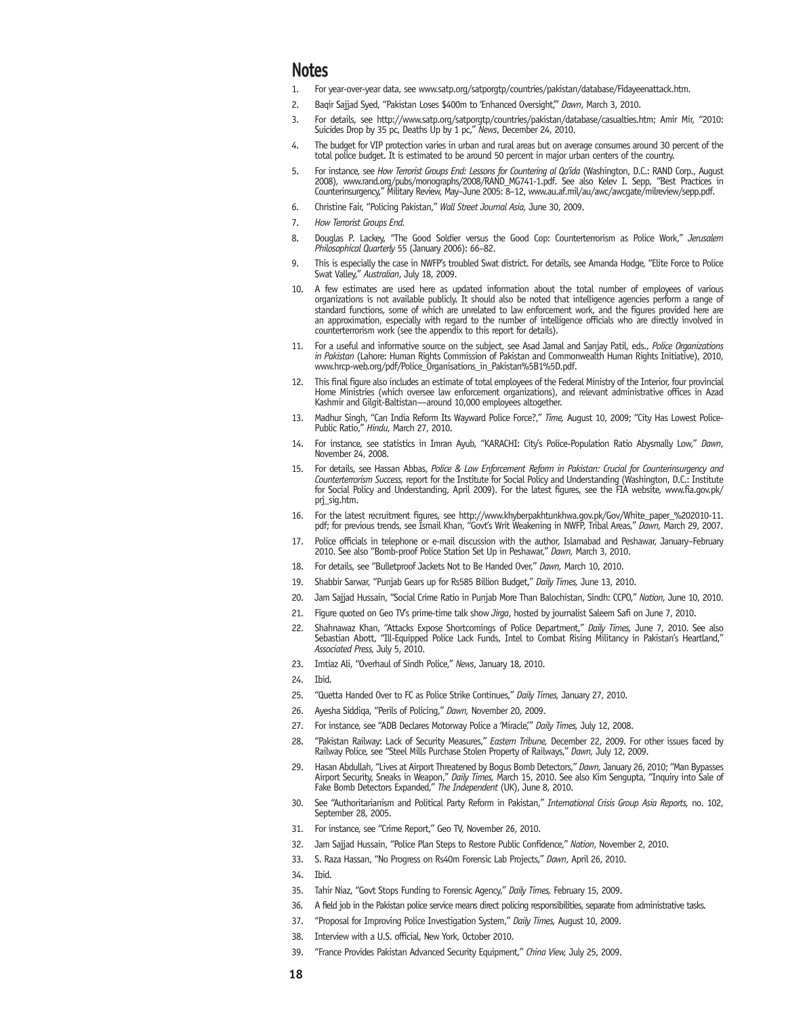### **Notes**

- 1. For year-over-year data, see www.satp.org/satporgtp/countries/pakistan/database/Fidayeenattack.htm.
- 2. Baqir Sajjad Syed, "Pakistan Loses \$400m to 'Enhanced Oversight,'" *Dawn*, March 3, 2010.
- 3. For details, see http://www.satp.org/satporgtp/countries/pakistan/database/casualties.htm; Amir Mir, "2010: Suicides Drop by 35 pc, Deaths Up by 1 pc," *News*, December 24, 2010.
- 4. The budget for VIP protection varies in urban and rural areas but on average consumes around 30 percent of the total police budget. It is estimated to be around 50 percent in major urban centers of the country.
- 5. For instance, see *How Terrorist Groups End: Lessons for Countering al Qa'ida* (Washington, D.C.: RAND Corp., August 2008), www.rand.org/pubs/monographs/2008/RAND\_MG741-1.pdf. See also Kelev I. Sepp, "Best Practices in Counterinsurgency," Military Review, May–June 2005: 8–12, www.au.af.mil/au/awc/awcgate/milreview/sepp.pdf.
- 6. Christine Fair, "Policing Pakistan," *Wall Street Journal Asia,* June 30, 2009.
- 7. *How Terrorist Groups End.*
- 8. Douglas P. Lackey, "The Good Soldier versus the Good Cop: Counterterrorism as Police Work," *Jerusalem Philosophical Quarterly* 55 (January 2006): 66–82.
- 9. This is especially the case in NWFP's troubled Swat district. For details, see Amanda Hodge, "Elite Force to Police Swat Valley," *Australian*, July 18, 2009.
- 10. A few estimates are used here as updated information about the total number of employees of various organizations is not available publicly. It should also be noted that intelligence agencies perform a range of standard functions, some of which are unrelated to law enforcement work, and the figures provided here are an approximation, especially with regard to the number of intelligence officials who are directly involved in counterterrorism work (see the appendix to this report for details).
- 11. For a useful and informative source on the subject, see Asad Jamal and Sanjay Patil, eds., *Police Organizations in Pakistan* (Lahore: Human Rights Commission of Pakistan and Commonwealth Human Rights Initiative), 2010, www.hrcp-web.org/pdf/Police\_Organisations\_in\_Pakistan%5B1%5D.pdf.
- 12. This final figure also includes an estimate of total employees of the Federal Ministry of the Interior, four provincial Home Ministries (which oversee law enforcement organizations), and relevant administrative offices in Azad Kashmir and Gilgit-Baltistan—around 10,000 employees altogether.
- 13. Madhur Singh, "Can India Reform Its Wayward Police Force?," *Time,* August 10, 2009; "City Has Lowest Police-Public Ratio," *Hindu,* March 27, 2010.
- 14. For instance, see statistics in Imran Ayub, "KARACHI: City's Police-Population Ratio Abysmally Low," *Dawn*, November 24, 2008.
- 15. For details, see Hassan Abbas, *Police & Law Enforcement Reform in Pakistan: Crucial for Counterinsurgency and Counterterrorism Success,* report for the Institute for Social Policy and Understanding (Washington, D.C.: Institute for Social Policy and Understanding, April 2009). For the latest figures, see the FIA website, www.fia.gov.pk/ prj\_sig.htm.
- 16. For the latest recruitment figures, see http://www.khyberpakhtunkhwa.gov.pk/Gov/White\_paper\_%202010-11. pdf; for previous trends, see Ismail Khan, "Govt's Writ Weakening in NWFP, Tribal Areas," *Dawn,* March 29, 2007.
- 17. Police officials in telephone or e-mail discussion with the author, Islamabad and Peshawar, January–February 2010. See also "Bomb-proof Police Station Set Up in Peshawar," *Dawn,* March 3, 2010.
- 18. For details, see "Bulletproof Jackets Not to Be Handed Over," *Dawn,* March 10, 2010.
- 19. Shabbir Sarwar, "Punjab Gears up for Rs585 Billion Budget," *Daily Times,* June 13, 2010.
- 20. Jam Sajjad Hussain, "Social Crime Ratio in Punjab More Than Balochistan, Sindh: CCPO," *Nation,* June 10, 2010.
- 21. Figure quoted on Geo TV's prime-time talk show *Jirga*, hosted by journalist Saleem Safi on June 7, 2010.
- 22. Shahnawaz Khan, "Attacks Expose Shortcomings of Police Department," *Daily Times,* June 7, 2010. See also Sebastian Abott, "Ill-Equipped Police Lack Funds, Intel to Combat Rising Militancy in Pakistan's Heartland," *Associated Press,* July 5, 2010.
- 23. Imtiaz Ali, "Overhaul of Sindh Police," *News*, January 18, 2010.
- 24. Ibid.
- 25. "Quetta Handed Over to FC as Police Strike Continues," *Daily Times,* January 27, 2010.
- 26. Ayesha Siddiqa, "Perils of Policing," *Dawn,* November 20, 2009.
- 27. For instance, see "ADB Declares Motorway Police a 'Miracle,'" *Daily Times,* July 12, 2008.
- 28. "Pakistan Railway: Lack of Security Measures," *Eastern Tribune,* December 22, 2009. For other issues faced by Railway Police, see "Steel Mills Purchase Stolen Property of Railways," *Dawn,* July 12, 2009.
- 29. Hasan Abdullah, "Lives at Airport Threatened by Bogus Bomb Detectors," *Dawn,* January 26, 2010; "Man Bypasses Airport Security, Sneaks in Weapon," *Daily Times,* March 15, 2010. See also Kim Sengupta, "Inquiry into Sale of Fake Bomb Detectors Expanded," *The Independent* (UK), June 8, 2010.
- 30. See "Authoritarianism and Political Party Reform in Pakistan," *International Crisis Group Asia Reports,* no. 102, September 28, 2005.
- 31. For instance, see "Crime Report," Geo TV, November 26, 2010.
- 32. Jam Sajjad Hussain, "Police Plan Steps to Restore Public Confidence," *Nation*, November 2, 2010.
- 33. S. Raza Hassan, "No Progress on Rs40m Forensic Lab Projects," *Dawn*, April 26, 2010.
- 34. Ibid.
- 35. Tahir Niaz, "Govt Stops Funding to Forensic Agency," *Daily Times,* February 15, 2009.
- 36. A field job in the Pakistan police service means direct policing responsibilities, separate from administrative tasks.
- 37. "Proposal for Improving Police Investigation System," *Daily Times,* August 10, 2009.
- 38. Interview with a U.S. official, New York, October 2010.
- 39. "France Provides Pakistan Advanced Security Equipment," *China View,* July 25, 2009.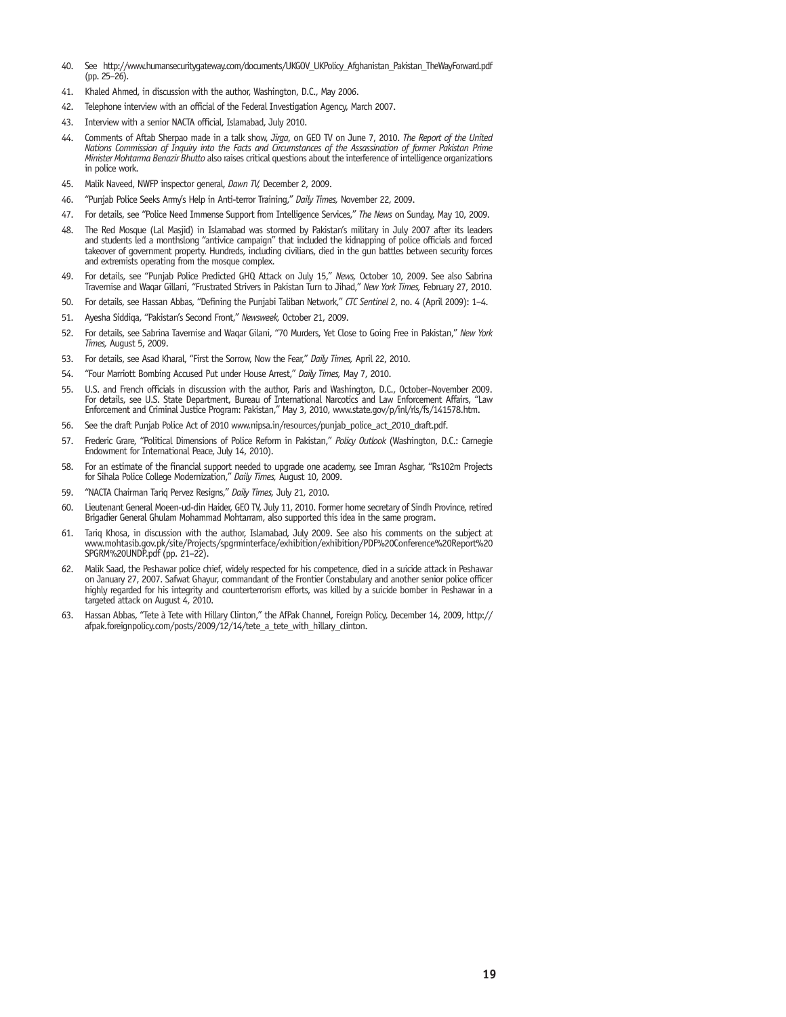- 40. See http://www.humansecuritygateway.com/documents/UKGOV\_UKPolicy\_Afghanistan\_Pakistan\_TheWayForward.pdf (pp. 25–26).
- 41. Khaled Ahmed, in discussion with the author, Washington, D.C., May 2006.
- 42. Telephone interview with an official of the Federal Investigation Agency, March 2007.
- 43. Interview with a senior NACTA official, Islamabad, July 2010.
- 44. Comments of Aftab Sherpao made in a talk show, *Jirga*, on GEO TV on June 7, 2010. *The Report of the United Nations Commission of Inquiry into the Facts and Circumstances of the Assassination of former Pakistan Prime Minister Mohtarma Benazir Bhutto* also raises critical questions about the interference of intelligence organizations in police work.
- 45. Malik Naveed, NWFP inspector general, *Dawn TV,* December 2, 2009.
- 46. "Punjab Police Seeks Army's Help in Anti-terror Training," *Daily Times,* November 22, 2009.
- 47. For details, see "Police Need Immense Support from Intelligence Services," *The News* on Sunday, May 10, 2009.
- 48. The Red Mosque (Lal Masjid) in Islamabad was stormed by Pakistan's military in July 2007 after its leaders and students led a monthslong "antivice campaign" that included the kidnapping of police officials and forced takeover of government property. Hundreds, including civilians, died in the gun battles between security forces and extremists operating from the mosque complex.
- 49. For details, see "Punjab Police Predicted GHQ Attack on July 15," *News,* October 10, 2009. See also Sabrina Travernise and Waqar Gillani, "Frustrated Strivers in Pakistan Turn to Jihad," *New York Times,* February 27, 2010.
- 50. For details, see Hassan Abbas, "Defining the Punjabi Taliban Network," *CTC Sentinel* 2, no. 4 (April 2009): 1–4.
- 51. Ayesha Siddiqa, "Pakistan's Second Front," *Newsweek,* October 21, 2009.
- 52. For details, see Sabrina Tavernise and Waqar Gilani, "70 Murders, Yet Close to Going Free in Pakistan," *New York Times,* August 5, 2009.
- 53. For details, see Asad Kharal, "First the Sorrow, Now the Fear," *Daily Times,* April 22, 2010.
- 54. "Four Marriott Bombing Accused Put under House Arrest," *Daily Times,* May 7, 2010.
- 55. U.S. and French officials in discussion with the author, Paris and Washington, D.C., October–November 2009. For details, see U.S. State Department, Bureau of International Narcotics and Law Enforcement Affairs, "Law Enforcement and Criminal Justice Program: Pakistan," May 3, 2010, www.state.gov/p/inl/rls/fs/141578.htm.
- 56. See the draft Punjab Police Act of 2010 www.nipsa.in/resources/punjab\_police\_act\_2010\_draft.pdf.
- 57. Frederic Grare, "Political Dimensions of Police Reform in Pakistan," *Policy Outlook* (Washington, D.C.: Carnegie Endowment for International Peace, July 14, 2010).
- 58. For an estimate of the financial support needed to upgrade one academy, see Imran Asghar, "Rs102m Projects for Sihala Police College Modernization," *Daily Times,* August 10, 2009.
- 59. "NACTA Chairman Tariq Pervez Resigns," *Daily Times,* July 21, 2010.
- 60. Lieutenant General Moeen-ud-din Haider, GEO TV, July 11, 2010. Former home secretary of Sindh Province, retired Brigadier General Ghulam Mohammad Mohtarram, also supported this idea in the same program.
- 61. Tariq Khosa, in discussion with the author, Islamabad, July 2009. See also his comments on the subject at www.mohtasib.gov.pk/site/Projects/spgrminterface/exhibition/exhibition/PDF%20Conference%20Report%20 SPGRM%20UNDP.pdf (pp. 21–22).
- 62. Malik Saad, the Peshawar police chief, widely respected for his competence, died in a suicide attack in Peshawar on January 27, 2007. Safwat Ghayur, commandant of the Frontier Constabulary and another senior police officer highly regarded for his integrity and counterterrorism efforts, was killed by a suicide bomber in Peshawar in a targeted attack on August 4, 2010.
- 63. Hassan Abbas, "Tete à Tete with Hillary Clinton," the AfPak Channel, Foreign Policy, December 14, 2009, http:// afpak.foreignpolicy.com/posts/2009/12/14/tete\_a\_tete\_with\_hillary\_clinton.